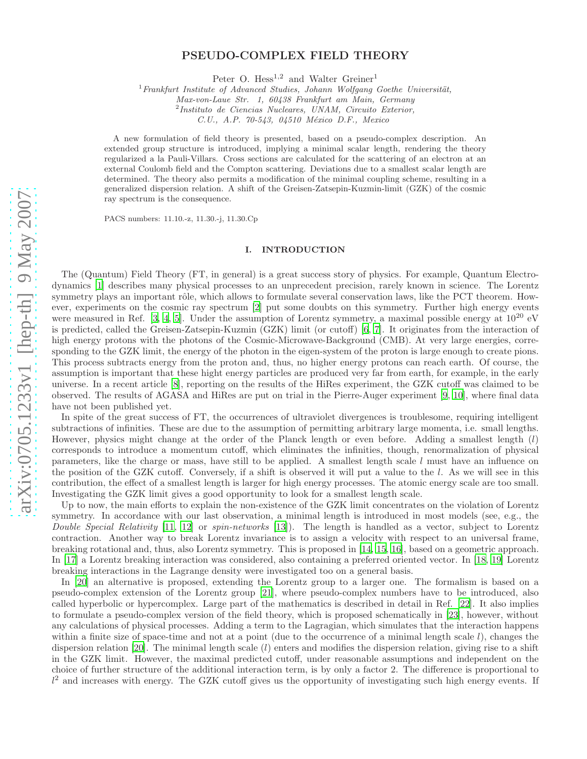# arXiv:0705.1233v1 [hep-th] 9 May 2007 [arXiv:0705.1233v1 \[hep-th\] 9 May 2007](http://arxiv.org/abs/0705.1233v1)

# PSEUDO-COMPLEX FIELD THEORY

Peter O.  $Hess<sup>1,2</sup>$  and Walter Greiner<sup>1</sup>

<sup>1</sup> Frankfurt Institute of Advanced Studies, Johann Wolfgang Goethe Universität,

*Max-von-Laue Str. 1, 60438 Frankfurt am Main, Germany* 2 *Instituto de Ciencias Nucleares, UNAM, Circuito Exterior,*

*C.U., A.P. 70-543, 04510 M´exico D.F., Mexico*

A new formulation of field theory is presented, based on a pseudo-complex description. An extended group structure is introduced, implying a minimal scalar length, rendering the theory regularized a la Pauli-Villars. Cross sections are calculated for the scattering of an electron at an external Coulomb field and the Compton scattering. Deviations due to a smallest scalar length are determined. The theory also permits a modification of the minimal coupling scheme, resulting in a generalized dispersion relation. A shift of the Greisen-Zatsepin-Kuzmin-limit (GZK) of the cosmic ray spectrum is the consequence.

PACS numbers: 11.10.-z, 11.30.-j, 11.30.Cp

## I. INTRODUCTION

The (Quantum) Field Theory (FT, in general) is a great success story of physics. For example, Quantum Electrodynamics [\[1](#page-27-0)] describes many physical processes to an unprecedent precision, rarely known in science. The Lorentz symmetry plays an important rôle, which allows to formulate several conservation laws, like the PCT theorem. However, experiments on the cosmic ray spectrum [\[2\]](#page-27-1) put some doubts on this symmetry. Further high energy events were measured in Ref. [\[3,](#page-27-2) [4,](#page-27-3) [5](#page-27-4)]. Under the assumption of Lorentz symmetry, a maximal possible energy at  $10^{20}$  eV is predicted, called the Greisen-Zatsepin-Kuzmin (GZK) limit (or cutoff) [\[6,](#page-27-5) [7\]](#page-27-6). It originates from the interaction of high energy protons with the photons of the Cosmic-Microwave-Background (CMB). At very large energies, corresponding to the GZK limit, the energy of the photon in the eigen-system of the proton is large enough to create pions. This process subtracts energy from the proton and, thus, no higher energy protons can reach earth. Of course, the assumption is important that these hight energy particles are produced very far from earth, for example, in the early universe. In a recent article [\[8\]](#page-27-7), reporting on the results of the HiRes experiment, the GZK cutoff was claimed to be observed. The results of AGASA and HiRes are put on trial in the Pierre-Auger experiment [\[9](#page-27-8), [10\]](#page-27-9), where final data have not been published yet.

In spite of the great success of FT, the occurrences of ultraviolet divergences is troublesome, requiring intelligent subtractions of infinities. These are due to the assumption of permitting arbitrary large momenta, i.e. small lengths. However, physics might change at the order of the Planck length or even before. Adding a smallest length (l) corresponds to introduce a momentum cutoff, which eliminates the infinities, though, renormalization of physical parameters, like the charge or mass, have still to be applied. A smallest length scale  $l$  must have an influence on the position of the GZK cutoff. Conversely, if a shift is observed it will put a value to the l. As we will see in this contribution, the effect of a smallest length is larger for high energy processes. The atomic energy scale are too small. Investigating the GZK limit gives a good opportunity to look for a smallest length scale.

Up to now, the main efforts to explain the non-existence of the GZK limit concentrates on the violation of Lorentz symmetry. In accordance with our last observation, a minimal length is introduced in most models (see, e.g., the Double Special Relativity [\[11,](#page-27-10) [12\]](#page-27-11) or spin-networks [\[13](#page-27-12)]). The length is handled as a vector, subject to Lorentz contraction. Another way to break Lorentz invariance is to assign a velocity with respect to an universal frame, breaking rotational and, thus, also Lorentz symmetry. This is proposed in [\[14](#page-27-13), [15,](#page-27-14) [16\]](#page-27-15), based on a geometric approach. In [\[17](#page-27-16)] a Lorentz breaking interaction was considered, also containing a preferred oriented vector. In [\[18,](#page-27-17) [19\]](#page-27-18) Lorentz breaking interactions in the Lagrange density were investigated too on a general basis.

In [\[20](#page-27-19)] an alternative is proposed, extending the Lorentz group to a larger one. The formalism is based on a pseudo-complex extension of the Lorentz group [\[21\]](#page-27-20), where pseudo-complex numbers have to be introduced, also called hyperbolic or hypercomplex. Large part of the mathematics is described in detail in Ref. [\[22](#page-27-21)]. It also implies to formulate a pseudo-complex version of the field theory, which is proposed schematically in [\[23](#page-27-22)], however, without any calculations of physical processes. Adding a term to the Lagragian, which simulates that the interaction happens within a finite size of space-time and not at a point (due to the occurrence of a minimal length scale  $l$ ), changes the dispersion relation  $[20]$ . The minimal length scale  $(l)$  enters and modifies the dispersion relation, giving rise to a shift in the GZK limit. However, the maximal predicted cutoff, under reasonable assumptions and independent on the choice of further structure of the additional interaction term, is by only a factor 2. The difference is proportional to  $l^2$  and increases with energy. The GZK cutoff gives us the opportunity of investigating such high energy events. If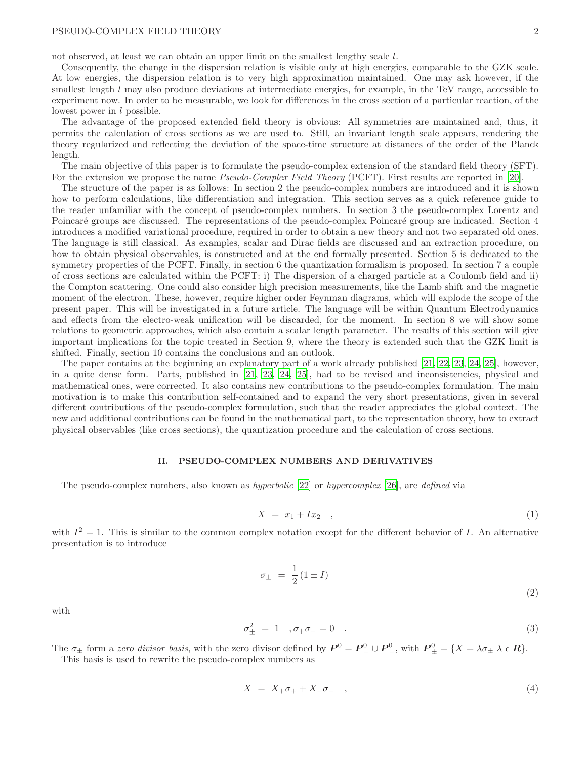# PSEUDO-COMPLEX FIELD THEORY 2

not observed, at least we can obtain an upper limit on the smallest lengthy scale l.

Consequently, the change in the dispersion relation is visible only at high energies, comparable to the GZK scale. At low energies, the dispersion relation is to very high approximation maintained. One may ask however, if the smallest length l may also produce deviations at intermediate energies, for example, in the TeV range, accessible to experiment now. In order to be measurable, we look for differences in the cross section of a particular reaction, of the lowest power in *l* possible.

The advantage of the proposed extended field theory is obvious: All symmetries are maintained and, thus, it permits the calculation of cross sections as we are used to. Still, an invariant length scale appears, rendering the theory regularized and reflecting the deviation of the space-time structure at distances of the order of the Planck length.

The main objective of this paper is to formulate the pseudo-complex extension of the standard field theory (SFT). For the extension we propose the name *Pseudo-Complex Field Theory* (PCFT). First results are reported in [\[20\]](#page-27-19).

The structure of the paper is as follows: In section 2 the pseudo-complex numbers are introduced and it is shown how to perform calculations, like differentiation and integration. This section serves as a quick reference guide to the reader unfamiliar with the concept of pseudo-complex numbers. In section 3 the pseudo-complex Lorentz and Poincaré groups are discussed. The representations of the pseudo-complex Poincaré group are indicated. Section 4 introduces a modified variational procedure, required in order to obtain a new theory and not two separated old ones. The language is still classical. As examples, scalar and Dirac fields are discussed and an extraction procedure, on how to obtain physical observables, is constructed and at the end formally presented. Section 5 is dedicated to the symmetry properties of the PCFT. Finally, in section 6 the quantization formalism is proposed. In section 7 a couple of cross sections are calculated within the PCFT: i) The dispersion of a charged particle at a Coulomb field and ii) the Compton scattering. One could also consider high precision measurements, like the Lamb shift and the magnetic moment of the electron. These, however, require higher order Feynman diagrams, which will explode the scope of the present paper. This will be investigated in a future article. The language will be within Quantum Electrodynamics and effects from the electro-weak unification will be discarded, for the moment. In section 8 we will show some relations to geometric approaches, which also contain a scalar length parameter. The results of this section will give important implications for the topic treated in Section 9, where the theory is extended such that the GZK limit is shifted. Finally, section 10 contains the conclusions and an outlook.

The paper contains at the beginning an explanatory part of a work already published [\[21,](#page-27-20) [22,](#page-27-21) [23,](#page-27-22) [24,](#page-27-23) [25\]](#page-27-24), however, in a quite dense form. Parts, published in [\[21,](#page-27-20) [23](#page-27-22), [24](#page-27-23), [25\]](#page-27-24), had to be revised and inconsistencies, physical and mathematical ones, were corrected. It also contains new contributions to the pseudo-complex formulation. The main motivation is to make this contribution self-contained and to expand the very short presentations, given in several different contributions of the pseudo-complex formulation, such that the reader appreciates the global context. The new and additional contributions can be found in the mathematical part, to the representation theory, how to extract physical observables (like cross sections), the quantization procedure and the calculation of cross sections.

## II. PSEUDO-COMPLEX NUMBERS AND DERIVATIVES

The pseudo-complex numbers, also known as hyperbolic [\[22](#page-27-21)] or hypercomplex [\[26\]](#page-27-25), are defined via

$$
X = x_1 + I x_2 \quad , \tag{1}
$$

with  $I^2 = 1$ . This is similar to the common complex notation except for the different behavior of I. An alternative presentation is to introduce

$$
\sigma_{\pm} = \frac{1}{2} (1 \pm I) \tag{2}
$$

with

$$
\sigma_{\pm}^2 = 1 \quad , \sigma_{+}\sigma_{-} = 0 \quad . \tag{3}
$$

The  $\sigma_{\pm}$  form a zero divisor basis, with the zero divisor defined by  $\mathbf{P}^0 = \mathbf{P}^0_+ \cup \mathbf{P}^0_-,$  with  $\mathbf{P}^0_{\pm} = \{X = \lambda \sigma_{\pm} | \lambda \in \mathbf{R} \}.$ This basis is used to rewrite the pseudo-complex numbers as

$$
X = X_+ \sigma_+ + X_- \sigma_- \quad , \tag{4}
$$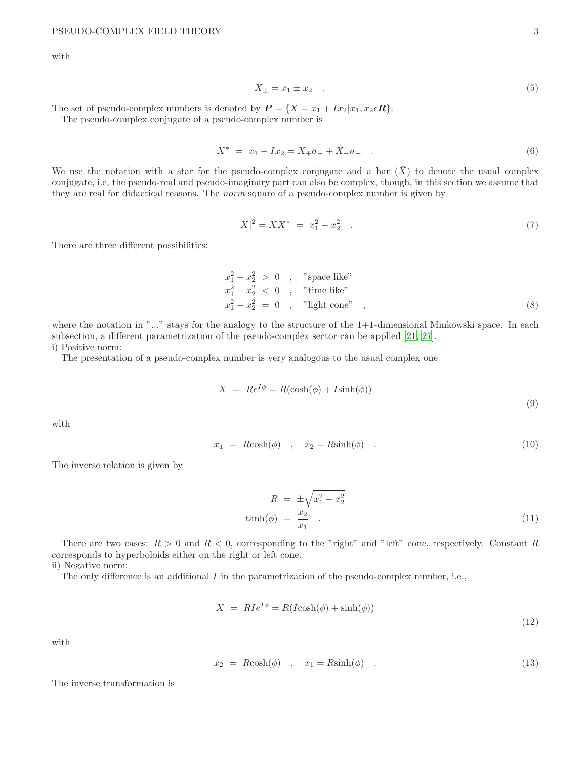with

$$
X_{\pm} = x_1 \pm x_2 \quad . \tag{5}
$$

The set of pseudo-complex numbers is denoted by  $P = \{X = x_1 + Ix_2 | x_1, x_2 \in \mathbb{R}\}.$ The pseudo-complex conjugate of a pseudo-complex number is

$$
X^* = x_1 - Ix_2 = X_+ \sigma_- + X_- \sigma_+ \quad . \tag{6}
$$

We use the notation with a star for the pseudo-complex conjugate and a bar  $(\bar{X})$  to denote the usual complex conjugate, i.e, the pseudo-real and pseudo-imaginary part can also be complex, though, in this section we assume that they are real for didactical reasons. The norm square of a pseudo-complex number is given by

$$
|X|^2 = XX^* = x_1^2 - x_2^2 \quad . \tag{7}
$$

There are three different possibilities:

$$
x_1^2 - x_2^2 > 0 \t , \t "space like"x_1^2 - x_2^2 < 0 \t , \t "time like"x_1^2 - x_2^2 = 0 \t , \t "light cone" \t , \t (8)
$$

where the notation in "..." stays for the analogy to the structure of the 1+1-dimensional Minkowski space. In each subsection, a different parametrization of the pseudo-complex sector can be applied [\[21](#page-27-20), [27](#page-27-26)]. i) Positive norm:

The presentation of a pseudo-complex number is very analogous to the usual complex one

$$
X = Re^{I\phi} = R(\cosh(\phi) + I\sinh(\phi))
$$

with

$$
x_1 = R \cosh(\phi) \quad , \quad x_2 = R \sinh(\phi) \quad . \tag{10}
$$

The inverse relation is given by

$$
R = \pm \sqrt{x_1^2 - x_2^2}
$$
  
\n
$$
\tanh(\phi) = \frac{x_2}{x_1} \tag{11}
$$

There are two cases:  $R > 0$  and  $R < 0$ , corresponding to the "right" and "left" cone, respectively. Constant R corresponds to hyperboloids either on the right or left cone. ii) Negative norm:

The only difference is an additional  $I$  in the parametrization of the pseudo-complex number, i.e.,

$$
X = R I e^{I\phi} = R(I \cosh(\phi) + \sinh(\phi))
$$

with

$$
x_2 = R \cosh(\phi) \quad , \quad x_1 = R \sinh(\phi) \quad . \tag{13}
$$

The inverse transformation is

(9)

(12)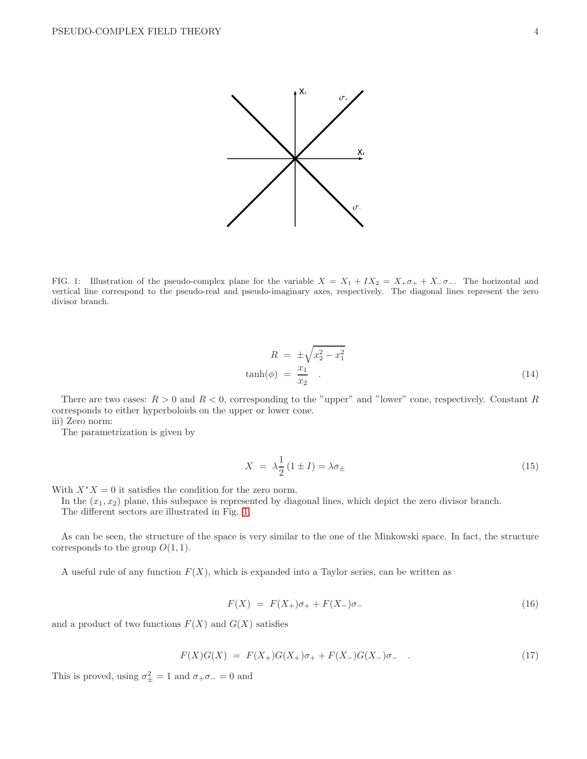

<span id="page-3-0"></span>FIG. 1: Illustration of the pseudo-complex plane for the variable  $X = X_1 + IX_2 = X_+\sigma_+ + X_-\sigma_-.$  The horizontal and vertical line correspond to the pseudo-real and pseudo-imaginary axes, respectively. The diagonal lines represent the zero divisor branch.

$$
R = \pm \sqrt{x_2^2 - x_1^2}
$$
  
\n
$$
\tanh(\phi) = \frac{x_1}{x_2} \tag{14}
$$

There are two cases:  $R > 0$  and  $R < 0$ , corresponding to the "upper" and "lower" cone, respectively. Constant R corresponds to either hyperboloids on the upper or lower cone.

iii) Zero norm:

The parametrization is given by

$$
X = \lambda \frac{1}{2} (1 \pm I) = \lambda \sigma_{\pm}
$$
\n(15)

With  $X^*X = 0$  it satisfies the condition for the zero norm.

In the  $(x_1, x_2)$  plane, this subspace is represented by diagonal lines, which depict the zero divisor branch.

The different sectors are illustrated in Fig. [1.](#page-3-0)

As can be seen, the structure of the space is very similar to the one of the Minkowski space. In fact, the structure corresponds to the group  $O(1, 1)$ .

A useful rule of any function  $F(X)$ , which is expanded into a Taylor series, can be written as

$$
F(X) = F(X_+) \sigma_+ + F(X_-) \sigma_- \tag{16}
$$

and a product of two functions  $F(X)$  and  $G(X)$  satisfies

$$
F(X)G(X) = F(X_+)G(X_+) \sigma_+ + F(X_-)G(X_-) \sigma_- \quad . \tag{17}
$$

This is proved, using  $\sigma_{\pm}^2 = 1$  and  $\sigma_{+}\sigma_{-} = 0$  and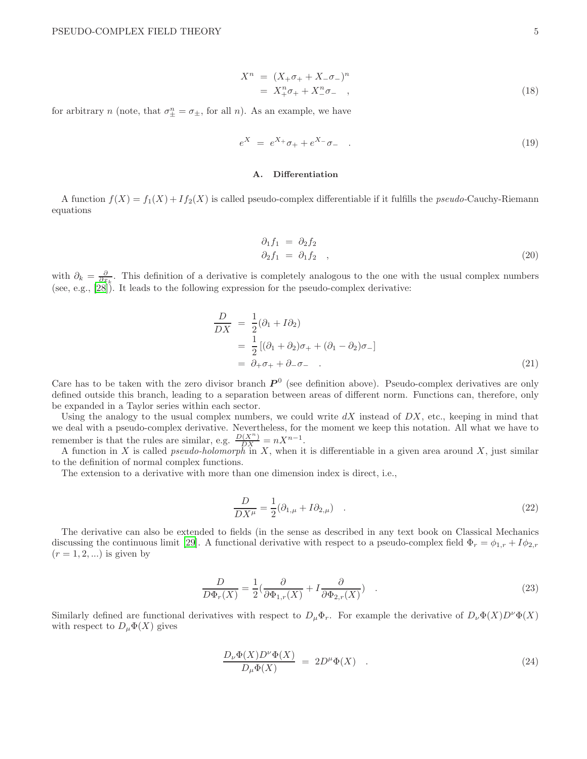$$
X^n = (X_+\sigma_+ + X_-\sigma_-)^n
$$
  
=  $X_+^n\sigma_+ + X_-^n\sigma_-$ , (18)

for arbitrary n (note, that  $\sigma_{\pm}^n = \sigma_{\pm}$ , for all n). As an example, we have

$$
e^X = e^{X_+} \sigma_+ + e^{X_-} \sigma_- \quad . \tag{19}
$$

# A. Differentiation

A function  $f(X) = f_1(X) + If_2(X)$  is called pseudo-complex differentiable if it fulfills the *pseudo*-Cauchy-Riemann equations

$$
\partial_1 f_1 = \partial_2 f_2 \n\partial_2 f_1 = \partial_1 f_2 , \qquad (20)
$$

with  $\partial_k = \frac{\partial}{\partial x_k}$ . This definition of a derivative is completely analogous to the one with the usual complex numbers (see, e.g., [\[28\]](#page-27-27)). It leads to the following expression for the pseudo-complex derivative:

$$
\frac{D}{DX} = \frac{1}{2}(\partial_1 + I\partial_2)
$$
  
=  $\frac{1}{2}[(\partial_1 + \partial_2)\sigma_+ + (\partial_1 - \partial_2)\sigma_-]$   
=  $\partial_+\sigma_+ + \partial_-\sigma_-$  (21)

Care has to be taken with the zero divisor branch  $P^0$  (see definition above). Pseudo-complex derivatives are only defined outside this branch, leading to a separation between areas of different norm. Functions can, therefore, only be expanded in a Taylor series within each sector.

Using the analogy to the usual complex numbers, we could write  $dX$  instead of  $DX$ , etc., keeping in mind that we deal with a pseudo-complex derivative. Nevertheless, for the moment we keep this notation. All what we have to remember is that the rules are similar, e.g.  $\frac{D(X^n)}{DX} = nX^{n-1}$ .

A function in X is called *pseudo-holomorph* in X, when it is differentiable in a given area around X, just similar to the definition of normal complex functions.

The extension to a derivative with more than one dimension index is direct, i.e.,

$$
\frac{D}{DX^{\mu}} = \frac{1}{2}(\partial_{1,\mu} + I\partial_{2,\mu})
$$
 (22)

The derivative can also be extended to fields (in the sense as described in any text book on Classical Mechanics discussing the continuous limit [\[29\]](#page-27-28). A functional derivative with respect to a pseudo-complex field  $\Phi_r = \phi_{1,r} + I\phi_{2,r}$  $(r = 1, 2, ...)$  is given by

$$
\frac{D}{D\Phi_r(X)} = \frac{1}{2} \left( \frac{\partial}{\partial \Phi_{1,r}(X)} + I \frac{\partial}{\partial \Phi_{2,r}(X)} \right) \quad . \tag{23}
$$

Similarly defined are functional derivatives with respect to  $D_\mu \Phi_r$ . For example the derivative of  $D_\nu \Phi(X)D^\nu \Phi(X)$ with respect to  $D_{\mu}\Phi(X)$  gives

$$
\frac{D_{\nu}\Phi(X)D^{\nu}\Phi(X)}{D_{\mu}\Phi(X)} = 2D^{\mu}\Phi(X) . \qquad (24)
$$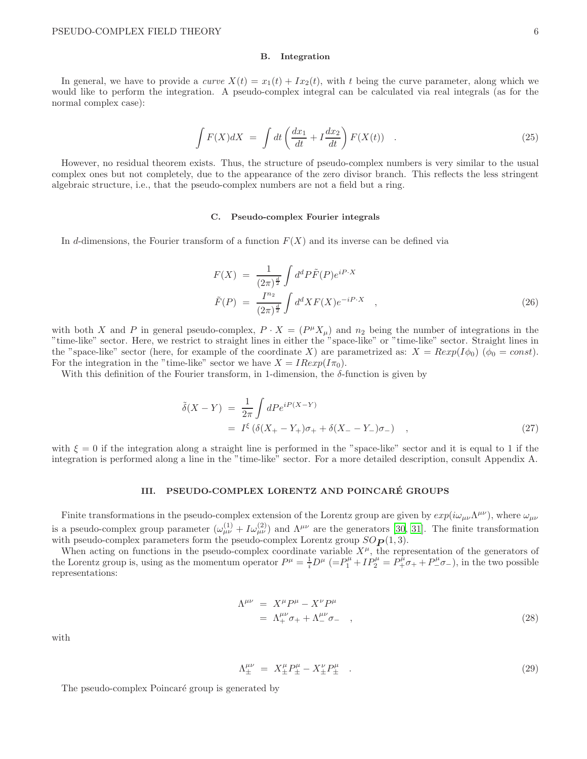## B. Integration

In general, we have to provide a *curve*  $X(t) = x_1(t) + Ix_2(t)$ , with t being the curve parameter, along which we would like to perform the integration. A pseudo-complex integral can be calculated via real integrals (as for the normal complex case):

$$
\int F(X)dX = \int dt \left(\frac{dx_1}{dt} + I\frac{dx_2}{dt}\right) F(X(t)) \quad . \tag{25}
$$

However, no residual theorem exists. Thus, the structure of pseudo-complex numbers is very similar to the usual complex ones but not completely, due to the appearance of the zero divisor branch. This reflects the less stringent algebraic structure, i.e., that the pseudo-complex numbers are not a field but a ring.

#### C. Pseudo-complex Fourier integrals

In d-dimensions, the Fourier transform of a function  $F(X)$  and its inverse can be defined via

$$
F(X) = \frac{1}{(2\pi)^{\frac{d}{2}}} \int d^d P \tilde{F}(P) e^{iP \cdot X}
$$
  

$$
\tilde{F}(P) = \frac{I^{n_2}}{(2\pi)^{\frac{d}{2}}} \int d^d X F(X) e^{-iP \cdot X} ,
$$
 (26)

with both X and P in general pseudo-complex,  $P \cdot X = (P^{\mu} X_{\mu})$  and  $n_2$  being the number of integrations in the "time-like" sector. Here, we restrict to straight lines in either the "space-like" or "time-like" sector. Straight lines in the "space-like" sector (here, for example of the coordinate X) are parametrized as:  $X = \text{R}exp(I\phi_0)$  ( $\phi_0 = \text{const}$ ). For the integration in the "time-like" sector we have  $X = \text{I} \text{R} \exp(\text{I} \pi_0)$ .

With this definition of the Fourier transform, in 1-dimension, the δ-function is given by

$$
\tilde{\delta}(X - Y) = \frac{1}{2\pi} \int dP e^{iP(X - Y)} \n= I^{\xi} (\delta(X_{+} - Y_{+})\sigma_{+} + \delta(X_{-} - Y_{-})\sigma_{-}) ,
$$
\n(27)

with  $\xi = 0$  if the integration along a straight line is performed in the "space-like" sector and it is equal to 1 if the integration is performed along a line in the "time-like" sector. For a more detailed description, consult Appendix A.

## III. PSEUDO-COMPLEX LORENTZ AND POINCARE GROUPS ´

Finite transformations in the pseudo-complex extension of the Lorentz group are given by  $exp(i\omega_{\mu\nu}\Lambda^{\mu\nu})$ , where  $\omega_{\mu\nu}$ is a pseudo-complex group parameter  $(\omega_{\mu\nu}^{(1)} + I\omega_{\mu\nu}^{(2)})$  and  $\Lambda^{\mu\nu}$  are the generators [\[30,](#page-27-29) [31\]](#page-27-30). The finite transformation with pseudo-complex parameters form the pseudo-complex Lorentz group  $SO_{\mathbf{P}}(1,3)$ .

When acting on functions in the pseudo-complex coordinate variable  $X^{\mu}$ , the representation of the generators of the Lorentz group is, using as the momentum operator  $P^{\mu} = \frac{1}{i}D^{\mu}$   $(=P_1^{\mu} + IP_2^{\mu} = P_+^{\mu} \sigma_+ + P_-^{\mu} \sigma_-)$ , in the two possible representations:

$$
\begin{aligned}\n\Lambda^{\mu\nu} &= X^{\mu}P^{\mu} - X^{\nu}P^{\mu} \\
&= \Lambda^{\mu\nu}_{+}\sigma_{+} + \Lambda^{\mu\nu}_{-}\sigma_{-} \quad ,\n\end{aligned} \tag{28}
$$

with

$$
\Lambda_{\pm}^{\mu\nu} = X_{\pm}^{\mu} P_{\pm}^{\mu} - X_{\pm}^{\nu} P_{\pm}^{\mu} \quad . \tag{29}
$$

The pseudo-complex Poincaré group is generated by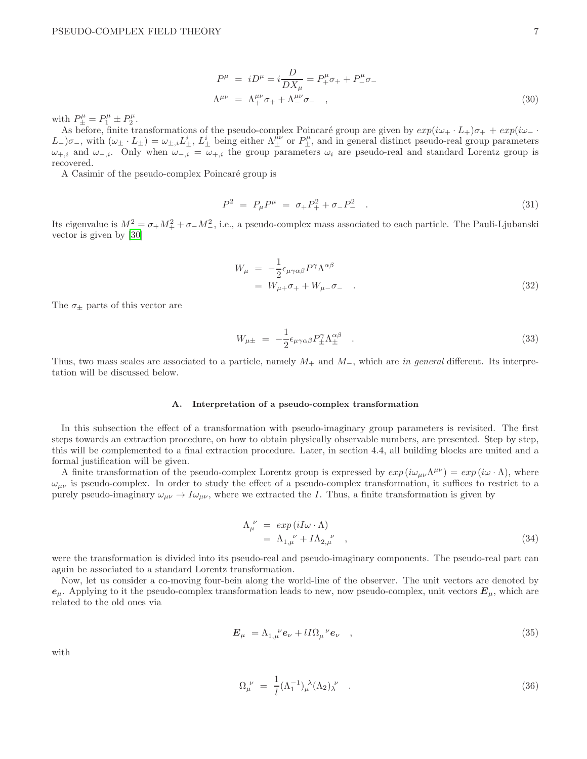$$
P^{\mu} = iD^{\mu} = i\frac{D}{DX_{\mu}} = P^{\mu}_{+}\sigma_{+} + P^{\mu}_{-}\sigma_{-}
$$
  
\n
$$
\Lambda^{\mu\nu} = \Lambda^{\mu\nu}_{+}\sigma_{+} + \Lambda^{\mu\nu}_{-}\sigma_{-} , \qquad (30)
$$

with  $P_{\pm}^{\mu} = P_1^{\mu} \pm P_2^{\mu}$ .

As before, finite transformations of the pseudo-complex Poincaré group are given by  $exp(i\omega_{+} \cdot L_{+})\sigma_{+} + exp(i\omega_{-} \cdot L_{+})\sigma_{+}$  $(L_-\sigma_-)$ , with  $(\omega_{\pm} \cdot L_{\pm}) = \omega_{\pm,i} L_{\pm}^i$ ,  $L_{\pm}^i$  being either  $\Lambda_{\pm}^{\mu\nu}$  or  $P_{\pm}^{\mu}$ , and in general distinct pseudo-real group parameters  $\omega_{+,i}$  and  $\omega_{-,i}$ . Only when  $\omega_{-,i} = \omega_{+,i}$  the group parameters  $\omega_i$  are pseudo-real and standard Lorentz group is recovered.

A Casimir of the pseudo-complex Poincaré group is

$$
P^2 = P_{\mu}P^{\mu} = \sigma_{+}P_{+}^2 + \sigma_{-}P_{-}^2 \quad . \tag{31}
$$

Its eigenvalue is  $M^2 = \sigma_+ M_+^2 + \sigma_- M_-^2$ , i.e., a pseudo-complex mass associated to each particle. The Pauli-Ljubanski vector is given by [\[30\]](#page-27-29)

$$
W_{\mu} = -\frac{1}{2} \epsilon_{\mu\gamma\alpha\beta} P^{\gamma} \Lambda^{\alpha\beta}
$$
  
=  $W_{\mu+}\sigma_{+} + W_{\mu-}\sigma_{-}$  (32)

The  $\sigma_{\pm}$  parts of this vector are

$$
W_{\mu \pm} = -\frac{1}{2} \epsilon_{\mu \gamma \alpha \beta} P_{\pm}^{\gamma} \Lambda_{\pm}^{\alpha \beta} \quad . \tag{33}
$$

Thus, two mass scales are associated to a particle, namely  $M_+$  and  $M_-$ , which are in general different. Its interpretation will be discussed below.

## A. Interpretation of a pseudo-complex transformation

In this subsection the effect of a transformation with pseudo-imaginary group parameters is revisited. The first steps towards an extraction procedure, on how to obtain physically observable numbers, are presented. Step by step, this will be complemented to a final extraction procedure. Later, in section 4.4, all building blocks are united and a formal justification will be given.

A finite transformation of the pseudo-complex Lorentz group is expressed by  $exp(i\omega_{\mu\nu}\Lambda^{\mu\nu}) = exp(i\omega \cdot \Lambda)$ , where  $\omega_{\mu\nu}$  is pseudo-complex. In order to study the effect of a pseudo-complex transformation, it suffices to restrict to a purely pseudo-imaginary  $\omega_{\mu\nu} \to I\omega_{\mu\nu}$ , where we extracted the I. Thus, a finite transformation is given by

$$
\begin{aligned}\n\Lambda_{\mu}^{\ \nu} &= \exp(iI\omega \cdot \Lambda) \\
&= \Lambda_{1,\mu}^{\ \ \nu} + I\Lambda_{2,\mu}^{\ \ \nu} \n\end{aligned} \n\tag{34}
$$

were the transformation is divided into its pseudo-real and pseudo-imaginary components. The pseudo-real part can again be associated to a standard Lorentz transformation.

Now, let us consider a co-moving four-bein along the world-line of the observer. The unit vectors are denoted by  $e_\mu$ . Applying to it the pseudo-complex transformation leads to new, now pseudo-complex, unit vectors  $E_\mu$ , which are related to the old ones via

$$
E_{\mu} = \Lambda_{1,\mu}^{\ \ \nu} e_{\nu} + l I \Omega_{\mu}^{\ \ \nu} e_{\nu} \quad , \tag{35}
$$

with

$$
\Omega_{\mu}^{\ \nu} = \frac{1}{l} (\Lambda_1^{-1})_{\mu}^{\ \lambda} (\Lambda_2)_{\lambda}^{\ \nu} \quad . \tag{36}
$$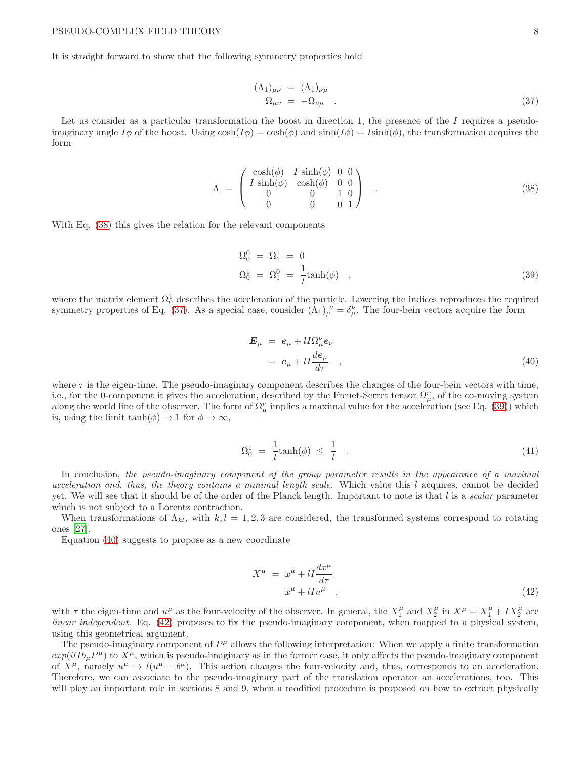It is straight forward to show that the following symmetry properties hold

<span id="page-7-1"></span>
$$
(\Lambda_1)_{\mu\nu} = (\Lambda_1)_{\nu\mu} \n\Omega_{\mu\nu} = -\Omega_{\nu\mu} .
$$
\n(37)

Let us consider as a particular transformation the boost in direction 1, the presence of the I requires a pseudoimaginary angle  $I\phi$  of the boost. Using  $\cosh(I\phi) = \cosh(\phi)$  and  $\sinh(I\phi) = I\sinh(\phi)$ , the transformation acquires the form

<span id="page-7-0"></span>
$$
\Lambda = \begin{pmatrix} \cosh(\phi) & I \sinh(\phi) & 0 & 0 \\ I \sinh(\phi) & \cosh(\phi) & 0 & 0 \\ 0 & 0 & 1 & 0 \\ 0 & 0 & 0 & 1 \end{pmatrix} .
$$
 (38)

With Eq.  $(38)$  this gives the relation for the relevant components

<span id="page-7-2"></span>
$$
\Omega_0^0 = \Omega_1^1 = 0
$$
  
\n
$$
\Omega_0^1 = \Omega_1^0 = \frac{1}{l} \tanh(\phi) , \qquad (39)
$$

where the matrix element  $\Omega_0^1$  describes the acceleration of the particle. Lowering the indices reproduces the required symmetry properties of Eq. [\(37\)](#page-7-1). As a special case, consider  $(\Lambda_1)_{\mu}^{\nu} = \delta_{\mu}^{\nu}$ . The four-bein vectors acquire the form

<span id="page-7-3"></span>
$$
E_{\mu} = e_{\mu} + l I \Omega_{\mu}^{\nu} e_{\nu}
$$
  
=  $e_{\mu} + l I \frac{de_{\mu}}{d\tau}$ , (40)

where  $\tau$  is the eigen-time. The pseudo-imaginary component describes the changes of the four-bein vectors with time, i.e., for the 0-component it gives the acceleration, described by the Frenet-Serret tensor  $\Omega^{\nu}_{\mu}$ , of the co-moving system along the world line of the observer. The form of  $\Omega^{\nu}_{\mu}$  implies a maximal value for the acceleration (see Eq. [\(39\)](#page-7-2)) which is, using the limit  $tanh(\phi) \rightarrow 1$  for  $\phi \rightarrow \infty$ ,

$$
\Omega_0^1 = \frac{1}{l} \tanh(\phi) \le \frac{1}{l} \quad . \tag{41}
$$

In conclusion, the pseudo-imaginary component of the group parameter results in the appearance of a maximal acceleration and, thus, the theory contains a minimal length scale. Which value this l acquires, cannot be decided yet. We will see that it should be of the order of the Planck length. Important to note is that  $l$  is a scalar parameter which is not subject to a Lorentz contraction.

When transformations of  $\Lambda_{kl}$ , with  $k, l = 1, 2, 3$  are considered, the transformed systems correspond to rotating ones [\[27\]](#page-27-26).

Equation [\(40\)](#page-7-3) suggests to propose as a new coordinate

<span id="page-7-4"></span>
$$
X^{\mu} = x^{\mu} + lI \frac{dx^{\mu}}{d\tau}
$$
  

$$
x^{\mu} + lI u^{\mu} \qquad (42)
$$

with  $\tau$  the eigen-time and  $u^{\mu}$  as the four-velocity of the observer. In general, the  $X_1^{\mu}$  and  $X_2^{\mu}$  in  $X^{\mu} = X_1^{\mu} + I X_2^{\mu}$  are linear independent. Eq. [\(42\)](#page-7-4) proposes to fix the pseudo-imaginary component, when mapped to a physical system, using this geometrical argument.

The pseudo-imaginary component of  $P^{\mu}$  allows the following interpretation: When we apply a finite transformation  $exp(ilIb<sub>\mu</sub>P<sup>\mu</sup>)$  to  $X^{\mu}$ , which is pseudo-imaginary as in the former case, it only affects the pseudo-imaginary component of  $X^{\mu}$ , namely  $u^{\mu} \to l(u^{\mu} + b^{\mu})$ . This action changes the four-velocity and, thus, corresponds to an acceleration. Therefore, we can associate to the pseudo-imaginary part of the translation operator an accelerations, too. This will play an important role in sections 8 and 9, when a modified procedure is proposed on how to extract physically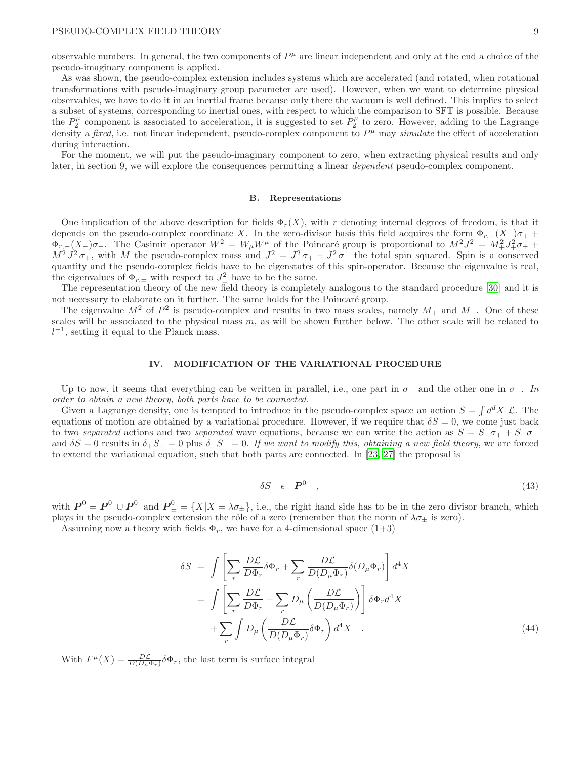# PSEUDO-COMPLEX FIELD THEORY 9

observable numbers. In general, the two components of  $P^{\mu}$  are linear independent and only at the end a choice of the pseudo-imaginary component is applied.

As was shown, the pseudo-complex extension includes systems which are accelerated (and rotated, when rotational transformations with pseudo-imaginary group parameter are used). However, when we want to determine physical observables, we have to do it in an inertial frame because only there the vacuum is well defined. This implies to select a subset of systems, corresponding to inertial ones, with respect to which the comparison to SFT is possible. Because the  $P_2^{\mu}$  component is associated to acceleration, it is suggested to set  $P_2^{\mu}$  to zero. However, adding to the Lagrange density a *fixed*, i.e. not linear independent, pseudo-complex component to  $P^{\mu}$  may *simulate* the effect of acceleration during interaction.

For the moment, we will put the pseudo-imaginary component to zero, when extracting physical results and only later, in section 9, we will explore the consequences permitting a linear dependent pseudo-complex component.

## B. Representations

One implication of the above description for fields  $\Phi_r(X)$ , with r denoting internal degrees of freedom, is that it depends on the pseudo-complex coordinate X. In the zero-divisor basis this field acquires the form  $\Phi_{r,+}(X_+)\sigma_+$  +  $\Phi_{r,-}(X_-)\sigma_-\$ . The Casimir operator  $W^2 = W_\mu W^\mu$  of the Poincaré group is proportional to  $M^2J^2 = M_+^2J_+^2\sigma_+ +$  $M^2 L^2 \sigma_+$ , with M the pseudo-complex mass and  $J^2 = J^2 + J^2 \sigma_-$  the total spin squared. Spin is a conserved quantity and the pseudo-complex fields have to be eigenstates of this spin-operator. Because the eigenvalue is real, the eigenvalues of  $\Phi_{r,\pm}$  with respect to  $J^2_{\pm}$  have to be the same.

The representation theory of the new field theory is completely analogous to the standard procedure [\[30\]](#page-27-29) and it is not necessary to elaborate on it further. The same holds for the Poincaré group.

The eigenvalue  $M^2$  of  $P^2$  is pseudo-complex and results in two mass scales, namely  $M_+$  and  $M_-$ . One of these scales will be associated to the physical mass m, as will be shown further below. The other scale will be related to  $l^{-1}$ , setting it equal to the Planck mass.

# IV. MODIFICATION OF THE VARIATIONAL PROCEDURE

Up to now, it seems that everything can be written in parallel, i.e., one part in  $\sigma_+$  and the other one in  $\sigma_-$ . In order to obtain a new theory, both parts have to be connected.

Given a Lagrange density, one is tempted to introduce in the pseudo-complex space an action  $S = \int d^d X \mathcal{L}$ . The equations of motion are obtained by a variational procedure. However, if we require that  $\delta S = 0$ , we come just back to two separated actions and two separated wave equations, because we can write the action as  $S = S_+\sigma_+ + S_-\sigma_$ and  $\delta S = 0$  results in  $\delta_+ S_+ = 0$  plus  $\delta_- S_- = 0$ . If we want to modify this, obtaining a new field theory, we are forced to extend the variational equation, such that both parts are connected. In [\[23](#page-27-22), [27](#page-27-26)] the proposal is

$$
\delta S \quad \epsilon \quad P^0 \quad , \tag{43}
$$

with  $P^0 = P^0_+ \cup P^0_-$  and  $P^0_\pm = \{X | X = \lambda \sigma_\pm\}$ , i.e., the right hand side has to be in the zero divisor branch, which plays in the pseudo-complex extension the rôle of a zero (remember that the norm of  $\lambda \sigma_{\pm}$  is zero).

Assuming now a theory with fields  $\Phi_r$ , we have for a 4-dimensional space  $(1+3)$ 

$$
\delta S = \int \left[ \sum_{r} \frac{D\mathcal{L}}{D\Phi_{r}} \delta \Phi_{r} + \sum_{r} \frac{D\mathcal{L}}{D(D_{\mu} \Phi_{r})} \delta(D_{\mu} \Phi_{r}) \right] d^{4}X
$$
  

$$
= \int \left[ \sum_{r} \frac{D\mathcal{L}}{D\Phi_{r}} - \sum_{r} D_{\mu} \left( \frac{D\mathcal{L}}{D(D_{\mu} \Phi_{r})} \right) \right] \delta \Phi_{r} d^{4}X
$$

$$
+ \sum_{r} \int D_{\mu} \left( \frac{D\mathcal{L}}{D(D_{\mu} \Phi_{r})} \delta \Phi_{r} \right) d^{4}X . \tag{44}
$$

With  $F^{\mu}(X) = \frac{D\mathcal{L}}{D(D_{\mu}\Phi_r)} \delta \Phi_r$ , the last term is surface integral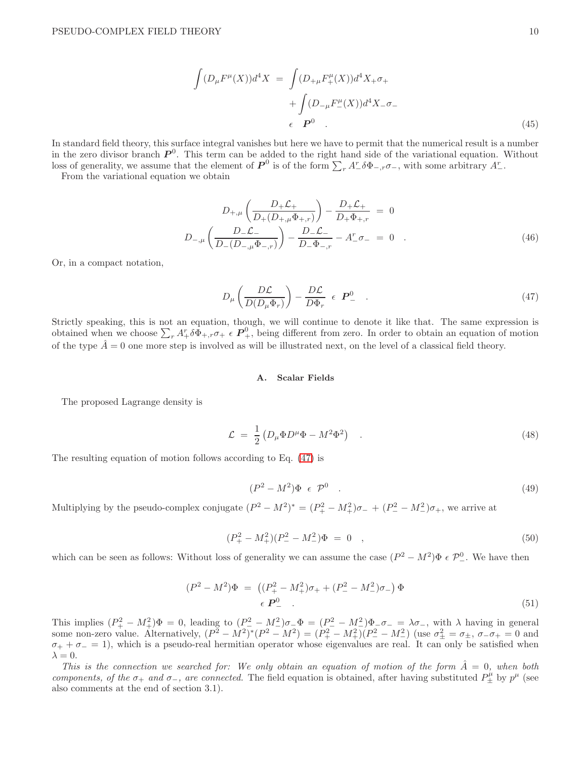$$
\int (D_{\mu}F^{\mu}(X))d^{4}X = \int (D_{+\mu}F_{+}^{\mu}(X))d^{4}X_{+}\sigma_{+} + \int (D_{-\mu}F_{-}^{\mu}(X))d^{4}X_{-}\sigma_{-} + \epsilon P^{0}.
$$
\n(45)

In standard field theory, this surface integral vanishes but here we have to permit that the numerical result is a number in the zero divisor branch  $P^0$ . This term can be added to the right hand side of the variational equation. Without loss of generality, we assume that the element of  $\mathbf{P}^0$  is of the form  $\sum_r A^r_{-} \delta \Phi_{-,r} \sigma_{-}$ , with some arbitrary  $A^r_{-}$ .

From the variational equation we obtain

$$
D_{+,\mu}\left(\frac{D_{+}\mathcal{L}_{+}}{D_{+}(D_{+,\mu}\Phi_{+,r})}\right) - \frac{D_{+}\mathcal{L}_{+}}{D_{+}\Phi_{+,r}} = 0
$$
  

$$
D_{-,\mu}\left(\frac{D_{-}\mathcal{L}_{-}}{D_{-}(D_{-,\mu}\Phi_{-,r})}\right) - \frac{D_{-}\mathcal{L}_{-}}{D_{-}\Phi_{-,r}} - A_{-}^{r}\sigma_{-} = 0
$$
 (46)

Or, in a compact notation,

<span id="page-9-0"></span>
$$
D_{\mu} \left( \frac{D \mathcal{L}}{D(D_{\mu} \Phi_r)} \right) - \frac{D \mathcal{L}}{D \Phi_r} \quad \epsilon \quad \mathbf{P}^0_- \tag{47}
$$

Strictly speaking, this is not an equation, though, we will continue to denote it like that. The same expression is obtained when we choose  $\sum_r A^r_+\delta\Phi_{+,r}\sigma_+ \in \mathbf{P}^0_+$ , being different from zero. In order to obtain an equation of motion of the type  $\hat{A}=0$  one more step is involved as will be illustrated next, on the level of a classical field theory.

# A. Scalar Fields

The proposed Lagrange density is

$$
\mathcal{L} = \frac{1}{2} \left( D_{\mu} \Phi D^{\mu} \Phi - M^2 \Phi^2 \right) \quad . \tag{48}
$$

The resulting equation of motion follows according to Eq. [\(47\)](#page-9-0) is

<span id="page-9-2"></span>
$$
(P^2 - M^2)\Phi \in \mathcal{P}^0 \quad . \tag{49}
$$

Multiplying by the pseudo-complex conjugate  $(P^2 - M^2)^* = (P_+^2 - M_+^2)\sigma_- + (P_-^2 - M_-^2)\sigma_+$ , we arrive at

<span id="page-9-1"></span>
$$
(P_+^2 - M_+^2)(P_-^2 - M_-^2)\Phi = 0 \quad , \tag{50}
$$

which can be seen as follows: Without loss of generality we can assume the case  $(P^2 - M^2)\Phi \in \mathcal{P}_-^0$ . We have then

$$
(P2 - M2)\Phi = ((P+2 - M+2)\sigma_{+} + (P-2 - M-2)\sigma_{-})\Phi
$$
  
\n
$$
\epsilon \mathbf{P}_{-}^{0}.
$$
\n(51)

This implies  $(P_+^2 - M_+^2)\Phi = 0$ , leading to  $(P_-^2 - M_-^2)\sigma - \Phi = (P_-^2 - M_-^2)\Phi - \sigma_- = \lambda \sigma_-$ , with  $\lambda$  having in general some non-zero value. Alternatively,  $(P^2 - M^2)^*(P^2 - M^2) = (P^2 + M^2)(P^2 - M^2)$  (use  $\sigma^2 \pm \sigma^2 \pm \sigma^2 = \sigma^2$ ,  $\sigma^2 \pm \sigma^2 = 0$  and  $\sigma_+ + \sigma_- = 1$ ), which is a pseudo-real hermitian operator whose eigenvalues are real. It can only be satisfied when  $\lambda = 0$ .

This is the connection we searched for: We only obtain an equation of motion of the form  $\hat{A} = 0$ , when both components, of the  $\sigma_+$  and  $\sigma_-$ , are connected. The field equation is obtained, after having substituted  $P^{\mu}_{\pm}$  by  $p^{\mu}$  (see also comments at the end of section 3.1).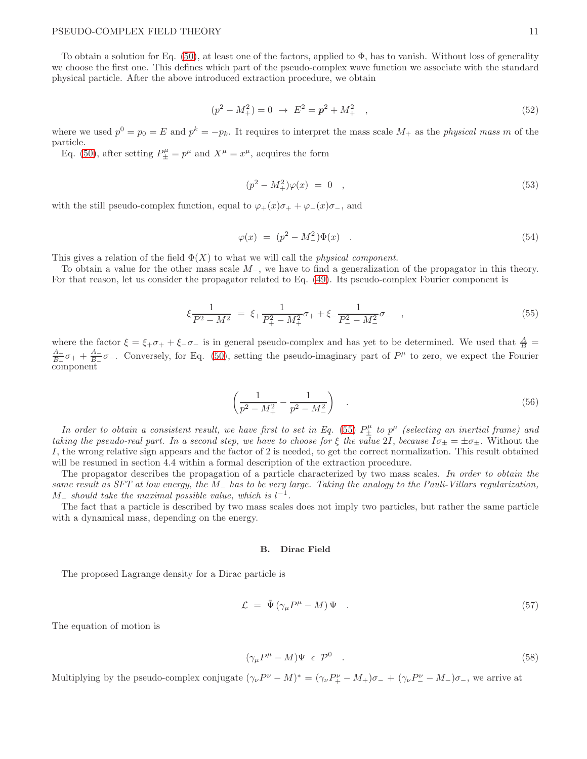To obtain a solution for Eq.  $(50)$ , at least one of the factors, applied to  $\Phi$ , has to vanish. Without loss of generality we choose the first one. This defines which part of the pseudo-complex wave function we associate with the standard physical particle. After the above introduced extraction procedure, we obtain

$$
(p2 - M+2) = 0 \rightarrow E2 = p2 + M+2 , \t\t(52)
$$

where we used  $p^0 = p_0 = E$  and  $p^k = -p_k$ . It requires to interpret the mass scale  $M_+$  as the *physical mass m* of the particle.

Eq. [\(50\)](#page-9-1), after setting  $P_{\pm}^{\mu} = p^{\mu}$  and  $X^{\mu} = x^{\mu}$ , acquires the form

$$
(p^2 - M_+^2)\varphi(x) = 0 \quad , \tag{53}
$$

with the still pseudo-complex function, equal to  $\varphi_+(x)\sigma_+ + \varphi_-(x)\sigma_-,$  and

$$
\varphi(x) = (p^2 - M_-^2)\Phi(x) \quad . \tag{54}
$$

This gives a relation of the field  $\Phi(X)$  to what we will call the *physical component*.

To obtain a value for the other mass scale  $M_$ , we have to find a generalization of the propagator in this theory. For that reason, let us consider the propagator related to Eq. [\(49\)](#page-9-2). Its pseudo-complex Fourier component is

<span id="page-10-0"></span>
$$
\xi \frac{1}{P^2 - M^2} = \xi_+ \frac{1}{P_+^2 - M_+^2} \sigma_+ + \xi_- \frac{1}{P_-^2 - M_-^2} \sigma_- \quad , \tag{55}
$$

where the factor  $\xi = \xi_+ \sigma_+ + \xi_- \sigma_-$  is in general pseudo-complex and has yet to be determined. We used that  $\frac{A}{B}$  $A_{+}$  $\frac{A_{+}}{B_{+}}\sigma_{+} + \frac{A_{-}}{B_{-}}$  $\frac{A_+}{B_-}\sigma_-\$ . Conversely, for Eq. [\(50\)](#page-9-1), setting the pseudo-imaginary part of  $P^{\mu}$  to zero, we expect the Fourier component

<span id="page-10-2"></span>
$$
\left(\frac{1}{p^2 - M_+^2} - \frac{1}{p^2 - M_-^2}\right) \quad . \tag{56}
$$

In order to obtain a consistent result, we have first to set in Eq. [\(55\)](#page-10-0)  $P_{\pm}^{\mu}$  to  $p^{\mu}$  (selecting an inertial frame) and taking the pseudo-real part. In a second step, we have to choose for  $\xi$  the value 2I, because  $I\sigma_{\pm} = \pm \sigma_{\pm}$ . Without the I, the wrong relative sign appears and the factor of 2 is needed, to get the correct normalization. This result obtained will be resumed in section 4.4 within a formal description of the extraction procedure.

The propagator describes the propagation of a particle characterized by two mass scales. In order to obtain the same result as SFT at low energy, the M<sub>−</sub> has to be very large. Taking the analogy to the Pauli-Villars regularization,  $M_{-}$  should take the maximal possible value, which is  $l^{-1}$ .

The fact that a particle is described by two mass scales does not imply two particles, but rather the same particle with a dynamical mass, depending on the energy.

# B. Dirac Field

The proposed Lagrange density for a Dirac particle is

$$
\mathcal{L} = \bar{\Psi} \left( \gamma_{\mu} P^{\mu} - M \right) \Psi \quad . \tag{57}
$$

The equation of motion is

<span id="page-10-1"></span>
$$
(\gamma_{\mu}P^{\mu}-M)\Psi \in \mathcal{P}^{0} \quad . \tag{58}
$$

Multiplying by the pseudo-complex conjugate  $(\gamma_\nu P^\nu - M)^* = (\gamma_\nu P^\nu_+ - M_+) \sigma_- + (\gamma_\nu P^\nu_- - M_-) \sigma_-,$  we arrive at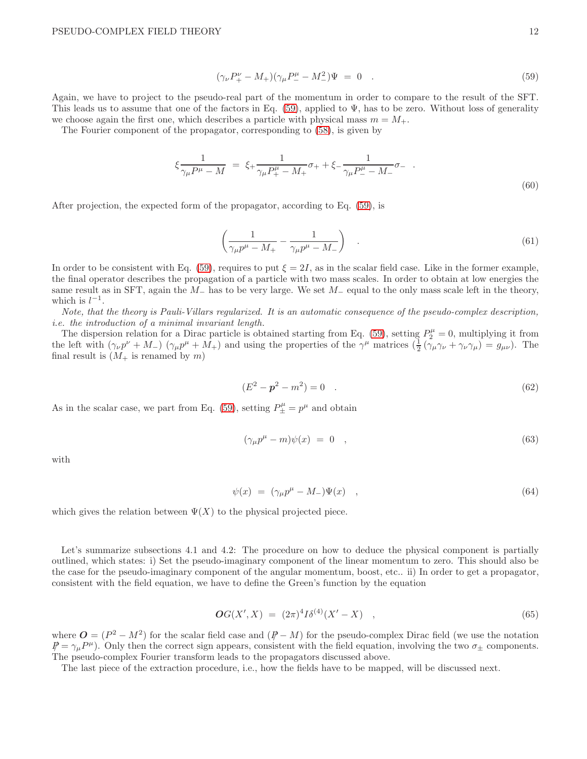<span id="page-11-0"></span>
$$
(\gamma_{\nu} P^{\nu}_{+} - M_{+})(\gamma_{\mu} P^{\mu}_{-} - M_{-}^{2})\Psi = 0 \quad . \tag{59}
$$

Again, we have to project to the pseudo-real part of the momentum in order to compare to the result of the SFT. This leads us to assume that one of the factors in Eq. [\(59\)](#page-11-0), applied to  $\Psi$ , has to be zero. Without loss of generality we choose again the first one, which describes a particle with physical mass  $m = M_{+}$ .

The Fourier component of the propagator, corresponding to [\(58\)](#page-10-1), is given by

$$
\xi \frac{1}{\gamma_{\mu} P^{\mu} - M} = \xi_{+} \frac{1}{\gamma_{\mu} P^{\mu}_{+} - M_{+}} \sigma_{+} + \xi_{-} \frac{1}{\gamma_{\mu} P^{\mu}_{-} - M_{-}} \sigma_{-} \quad . \tag{60}
$$

After projection, the expected form of the propagator, according to Eq. [\(59\)](#page-11-0), is

<span id="page-11-1"></span>
$$
\left(\frac{1}{\gamma_{\mu}p^{\mu}-M_{+}}-\frac{1}{\gamma_{\mu}p^{\mu}-M_{-}}\right) \quad . \tag{61}
$$

In order to be consistent with Eq. [\(59\)](#page-11-0), requires to put  $\xi = 2I$ , as in the scalar field case. Like in the former example, the final operator describes the propagation of a particle with two mass scales. In order to obtain at low energies the same result as in SFT, again the  $M_-\,$  has to be very large. We set  $M_-\,$  equal to the only mass scale left in the theory, which is  $l^{-1}$ .

Note, that the theory is Pauli-Villars regularized. It is an automatic consequence of the pseudo-complex description, i.e. the introduction of a minimal invariant length.

The dispersion relation for a Dirac particle is obtained starting from Eq. [\(59\)](#page-11-0), setting  $P_2^{\mu} = 0$ , multiplying it from the left with  $(\gamma_\nu p^\nu + M_-) (\gamma_\mu p^\mu + M_+)$  and using the properties of the  $\gamma^\mu$  matrices  $(\frac{1}{2} (\gamma_\mu \gamma_\nu + \gamma_\nu \gamma_\mu) = g_{\mu\nu})$ . The final result is  $(M_+$  is renamed by m)

$$
(E2 - p2 - m2) = 0 \t . \t (62)
$$

As in the scalar case, we part from Eq. [\(59\)](#page-11-0), setting  $P_{\pm}^{\mu} = p^{\mu}$  and obtain

$$
(\gamma_{\mu}p^{\mu}-m)\psi(x) = 0 \quad , \tag{63}
$$

with

$$
\psi(x) = (\gamma_{\mu}p^{\mu} - M_{-})\Psi(x) , \qquad (64)
$$

which gives the relation between  $\Psi(X)$  to the physical projected piece.

Let's summarize subsections 4.1 and 4.2: The procedure on how to deduce the physical component is partially outlined, which states: i) Set the pseudo-imaginary component of the linear momentum to zero. This should also be the case for the pseudo-imaginary component of the angular momentum, boost, etc.. ii) In order to get a propagator, consistent with the field equation, we have to define the Green's function by the equation

$$
OG(X', X) = (2\pi)^4 I \delta^{(4)}(X' - X) \quad , \tag{65}
$$

where  $\mathbf{O} = (P^2 - M^2)$  for the scalar field case and  $(\mathbf{P} - M)$  for the pseudo-complex Dirac field (we use the notation  $\mathcal{P} = \gamma_\mu P^\mu$ ). Only then the correct sign appears, consistent with the field equation, involving the two  $\sigma_{\pm}$  components. The pseudo-complex Fourier transform leads to the propagators discussed above.

The last piece of the extraction procedure, i.e., how the fields have to be mapped, will be discussed next.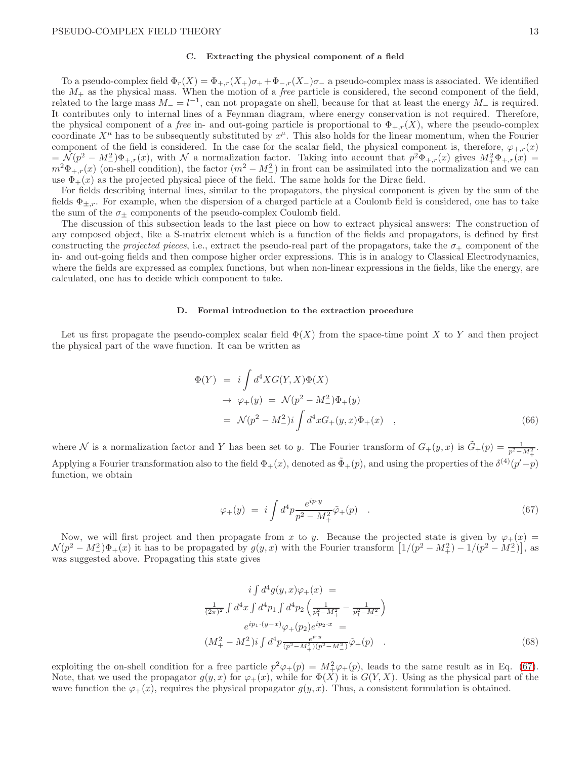# C. Extracting the physical component of a field

To a pseudo-complex field  $\Phi_r(X) = \Phi_{+,r}(X_+)\sigma_+ + \Phi_{-,r}(X_-)\sigma_-$  a pseudo-complex mass is associated. We identified the  $M_{+}$  as the physical mass. When the motion of a *free* particle is considered, the second component of the field, related to the large mass  $M = l^{-1}$ , can not propagate on shell, because for that at least the energy  $M_{-}$  is required. It contributes only to internal lines of a Feynman diagram, where energy conservation is not required. Therefore, the physical component of a *free* in- and out-going particle is proportional to  $\Phi_{+,r}(X)$ , where the pseudo-complex coordinate  $X^{\mu}$  has to be subsequently substituted by  $x^{\mu}$ . This also holds for the linear momentum, when the Fourier component of the field is considered. In the case for the scalar field, the physical component is, therefore,  $\varphi_{+r}(x)$  $=\mathcal{N}(p^2 - M^2) \Phi_{+,r}(x)$ , with  $\mathcal{N}$  a normalization factor. Taking into account that  $p^2 \Phi_{+,r}(x)$  gives  $M^2_+ \Phi_{+,r}(x) =$  $m^2\Phi_{+,r}(x)$  (on-shell condition), the factor  $(m^2 - M^2)$  in front can be assimilated into the normalization and we can use  $\Phi_{+}(x)$  as the projected physical piece of the field. The same holds for the Dirac field.

For fields describing internal lines, similar to the propagators, the physical component is given by the sum of the fields  $\Phi_{\pm,r}$ . For example, when the dispersion of a charged particle at a Coulomb field is considered, one has to take the sum of the  $\sigma_{\pm}$  components of the pseudo-complex Coulomb field.

The discussion of this subsection leads to the last piece on how to extract physical answers: The construction of any composed object, like a S-matrix element which is a function of the fields and propagators, is defined by first constructing the projected pieces, i.e., extract the pseudo-real part of the propagators, take the  $\sigma_+$  component of the in- and out-going fields and then compose higher order expressions. This is in analogy to Classical Electrodynamics, where the fields are expressed as complex functions, but when non-linear expressions in the fields, like the energy, are calculated, one has to decide which component to take.

#### D. Formal introduction to the extraction procedure

Let us first propagate the pseudo-complex scalar field  $\Phi(X)$  from the space-time point X to Y and then project the physical part of the wave function. It can be written as

$$
\Phi(Y) = i \int d^4 X G(Y, X) \Phi(X)
$$
  
\n
$$
\rightarrow \varphi_+(y) = \mathcal{N}(p^2 - M_-^2) \Phi_+(y)
$$
  
\n
$$
= \mathcal{N}(p^2 - M_-^2) i \int d^4 x G_+(y, x) \Phi_+(x) , \qquad (66)
$$

where N is a normalization factor and Y has been set to y. The Fourier transform of  $G_{+}(y, x)$  is  $\tilde{G}_{+}(p) = \frac{1}{p^2 - M_+^2}$ . Applying a Fourier transformation also to the field  $\Phi_+(x)$ , denoted as  $\tilde{\Phi}_+(p)$ , and using the properties of the  $\delta^{(4)}(p'-p)$ function, we obtain

<span id="page-12-0"></span>
$$
\varphi_{+}(y) = i \int d^{4}p \frac{e^{ip \cdot y}}{p^{2} - M_{+}^{2}} \tilde{\varphi}_{+}(p) \quad . \tag{67}
$$

Now, we will first project and then propagate from x to y. Because the projected state is given by  $\varphi_+(x)$  $\mathcal{N}(p^2 - M_-^2)\Phi_+(x)$  it has to be propagated by  $g(y, x)$  with the Fourier transform  $\left[1/(p^2 - M_+^2) - 1/(p^2 - M_-^2)\right]$ , as was suggested above. Propagating this state gives

$$
i \int d^4 g(y, x)\varphi_+(x) =
$$
  
\n
$$
\frac{1}{(2\pi)^2} \int d^4 x \int d^4 p_1 \int d^4 p_2 \left(\frac{1}{p_1^2 - M_+^2} - \frac{1}{p_1^2 - M_-^2}\right)
$$
  
\n
$$
e^{ip_1 \cdot (y-x)} \varphi_+(p_2) e^{ip_2 \cdot x} =
$$
  
\n
$$
(M_+^2 - M_-^2)i \int d^4 p \frac{e^{p \cdot y}}{(p^2 - M_+^2)(p^2 - M_-^2)} \tilde{\varphi}_+(p)
$$
 (68)

exploiting the on-shell condition for a free particle  $p^2\varphi_+(p) = M^2_+\varphi_+(p)$ , leads to the same result as in Eq. [\(67\)](#page-12-0). Note, that we used the propagator  $g(y, x)$  for  $\varphi_{+}(x)$ , while for  $\Phi(X)$  it is  $G(Y, X)$ . Using as the physical part of the wave function the  $\varphi_{+}(x)$ , requires the physical propagator  $g(y, x)$ . Thus, a consistent formulation is obtained.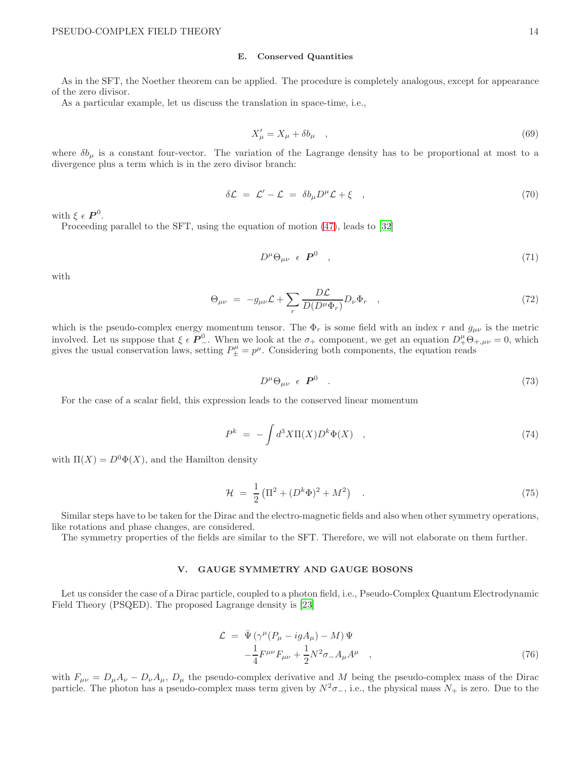#### E. Conserved Quantities

As in the SFT, the Noether theorem can be applied. The procedure is completely analogous, except for appearance of the zero divisor.

As a particular example, let us discuss the translation in space-time, i.e.,

$$
X'_{\mu} = X_{\mu} + \delta b_{\mu} \quad , \tag{69}
$$

where  $\delta b_\mu$  is a constant four-vector. The variation of the Lagrange density has to be proportional at most to a divergence plus a term which is in the zero divisor branch:

$$
\delta \mathcal{L} = \mathcal{L}' - \mathcal{L} = \delta b_{\mu} D^{\mu} \mathcal{L} + \xi \quad , \tag{70}
$$

with  $\xi \in \boldsymbol{P}^0$ .

Proceeding parallel to the SFT, using the equation of motion [\(47\)](#page-9-0), leads to [\[32](#page-27-31)]

$$
D^{\mu}\Theta_{\mu\nu} \ \epsilon \ \ \mathbf{P}^{0} \quad , \tag{71}
$$

with

$$
\Theta_{\mu\nu} = -g_{\mu\nu}\mathcal{L} + \sum_{r} \frac{D\mathcal{L}}{D(D^{\mu}\Phi_{r})} D_{\nu}\Phi_{r} \quad , \tag{72}
$$

which is the pseudo-complex energy momentum tensor. The  $\Phi_r$  is some field with an index r and  $g_{\mu\nu}$  is the metric involved. Let us suppose that  $\xi \in \mathbf{P}^0_-$ . When we look at the  $\sigma_+$  component, we get an equation  $D^{\mu}_+ \Theta_{+,\mu\nu} = 0$ , which gives the usual conservation laws, setting  $P_{\pm}^{\mu} = p^{\mu}$ . Considering both components, the equation reads

$$
D^{\mu}\Theta_{\mu\nu} \ \epsilon \ \ P^{0} \quad . \tag{73}
$$

For the case of a scalar field, this expression leads to the conserved linear momentum

$$
P^k = -\int d^3X \Pi(X) D^k \Phi(X) \quad , \tag{74}
$$

with  $\Pi(X) = D^0 \Phi(X)$ , and the Hamilton density

$$
\mathcal{H} = \frac{1}{2} \left( \Pi^2 + (D^k \Phi)^2 + M^2 \right) \quad . \tag{75}
$$

Similar steps have to be taken for the Dirac and the electro-magnetic fields and also when other symmetry operations, like rotations and phase changes, are considered.

The symmetry properties of the fields are similar to the SFT. Therefore, we will not elaborate on them further.

# V. GAUGE SYMMETRY AND GAUGE BOSONS

Let us consider the case of a Dirac particle, coupled to a photon field, i.e., Pseudo-Complex Quantum Electrodynamic Field Theory (PSQED). The proposed Lagrange density is [\[23\]](#page-27-22)

$$
\mathcal{L} = \bar{\Psi} (\gamma^{\mu} (P_{\mu} - igA_{\mu}) - M) \Psi -\frac{1}{4} F^{\mu \nu} F_{\mu \nu} + \frac{1}{2} N^2 \sigma_- A_{\mu} A^{\mu} ,
$$
 (76)

with  $F_{\mu\nu} = D_{\mu}A_{\nu} - D_{\nu}A_{\mu}$ ,  $D_{\mu}$  the pseudo-complex derivative and M being the pseudo-complex mass of the Dirac particle. The photon has a pseudo-complex mass term given by  $N^2\sigma_-$ , i.e., the physical mass  $N_+$  is zero. Due to the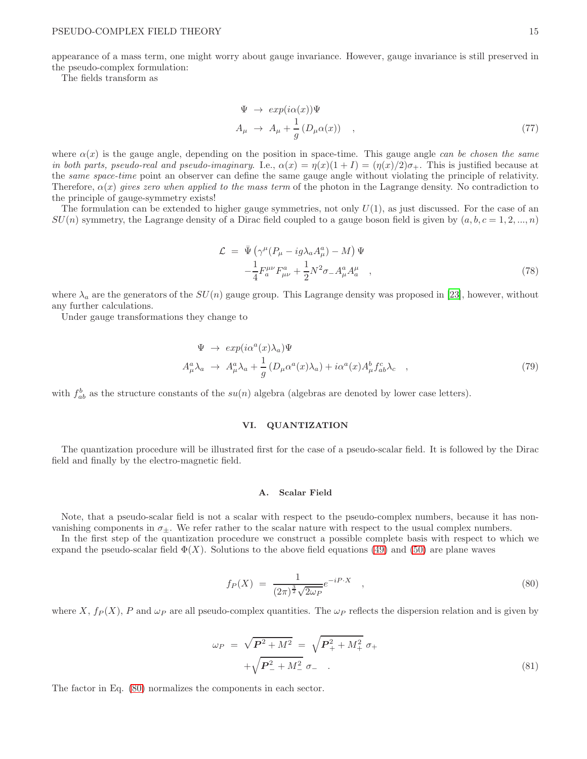appearance of a mass term, one might worry about gauge invariance. However, gauge invariance is still preserved in the pseudo-complex formulation:

The fields transform as

$$
\Psi \to \exp(i\alpha(x))\Psi
$$
  
\n
$$
A_{\mu} \to A_{\mu} + \frac{1}{g}(D_{\mu}\alpha(x)) ,
$$
\n(77)

where  $\alpha(x)$  is the gauge angle, depending on the position in space-time. This gauge angle can be chosen the same in both parts, pseudo-real and pseudo-imaginary. I.e.,  $\alpha(x) = \eta(x)(1+I) = (\eta(x)/2)\sigma_{+}$ . This is justified because at the same space-time point an observer can define the same gauge angle without violating the principle of relativity. Therefore,  $\alpha(x)$  gives zero when applied to the mass term of the photon in the Lagrange density. No contradiction to the principle of gauge-symmetry exists!

The formulation can be extended to higher gauge symmetries, not only  $U(1)$ , as just discussed. For the case of an  $SU(n)$  symmetry, the Lagrange density of a Dirac field coupled to a gauge boson field is given by  $(a, b, c = 1, 2, ..., n)$ 

$$
\mathcal{L} = \bar{\Psi} \left( \gamma^{\mu} (P_{\mu} - ig \lambda_{a} A_{\mu}^{a}) - M \right) \Psi -\frac{1}{4} F_{a}^{\mu \nu} F_{\mu \nu}^{a} + \frac{1}{2} N^{2} \sigma_{-} A_{\mu}^{a} A_{a}^{\mu} ,
$$
 (78)

where  $\lambda_a$  are the generators of the  $SU(n)$  gauge group. This Lagrange density was proposed in [\[23](#page-27-22)], however, without any further calculations.

Under gauge transformations they change to

$$
\Psi \to \exp(i\alpha^a(x)\lambda_a)\Psi
$$
\n
$$
A^a_\mu \lambda_a \to A^a_\mu \lambda_a + \frac{1}{g} \left( D_\mu \alpha^a(x)\lambda_a \right) + i\alpha^a(x) A^b_\mu f^c_{ab} \lambda_c \quad ,
$$
\n
$$
(79)
$$

with  $f_{ab}^b$  as the structure constants of the  $su(n)$  algebra (algebras are denoted by lower case letters).

## VI. QUANTIZATION

The quantization procedure will be illustrated first for the case of a pseudo-scalar field. It is followed by the Dirac field and finally by the electro-magnetic field.

#### A. Scalar Field

Note, that a pseudo-scalar field is not a scalar with respect to the pseudo-complex numbers, because it has nonvanishing components in  $\sigma_{+}$ . We refer rather to the scalar nature with respect to the usual complex numbers.

In the first step of the quantization procedure we construct a possible complete basis with respect to which we expand the pseudo-scalar field  $\Phi(X)$ . Solutions to the above field equations [\(49\)](#page-9-2) and [\(50\)](#page-9-1) are plane waves

<span id="page-14-0"></span>
$$
f_P(X) = \frac{1}{(2\pi)^{\frac{3}{2}}\sqrt{2\omega_P}}e^{-iP\cdot X} \quad , \tag{80}
$$

where X,  $f_P(X)$ , P and  $\omega_P$  are all pseudo-complex quantities. The  $\omega_P$  reflects the dispersion relation and is given by

$$
\omega_P = \sqrt{P^2 + M^2} = \sqrt{P_+^2 + M_+^2} \sigma_+ + \sqrt{P_-^2 + M_-^2} \sigma_- \tag{81}
$$

The factor in Eq. [\(80\)](#page-14-0) normalizes the components in each sector.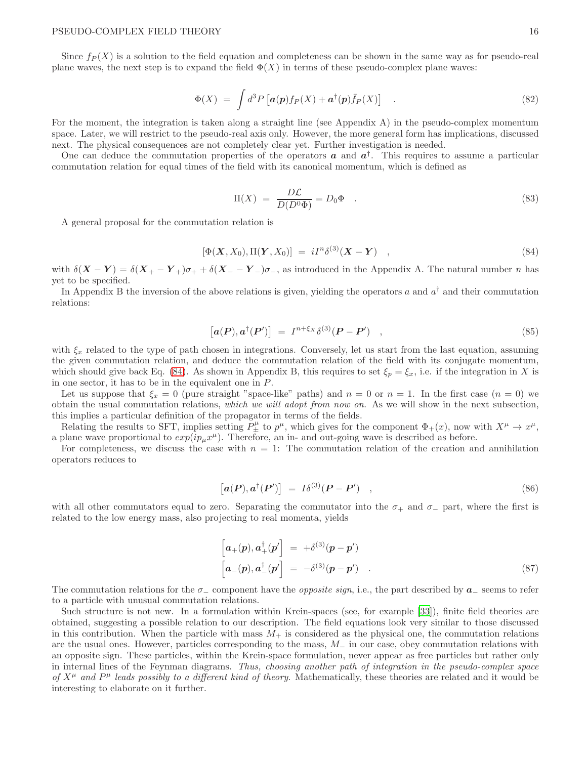Since  $f_P(X)$  is a solution to the field equation and completeness can be shown in the same way as for pseudo-real plane waves, the next step is to expand the field  $\Phi(X)$  in terms of these pseudo-complex plane waves:

<span id="page-15-1"></span>
$$
\Phi(X) = \int d^3 P \left[ \mathbf{a}(\mathbf{p}) f_P(X) + \mathbf{a}^\dagger(\mathbf{p}) \bar{f}_P(X) \right] \quad . \tag{82}
$$

For the moment, the integration is taken along a straight line (see Appendix A) in the pseudo-complex momentum space. Later, we will restrict to the pseudo-real axis only. However, the more general form has implications, discussed next. The physical consequences are not completely clear yet. Further investigation is needed.

One can deduce the commutation properties of the operators  $\boldsymbol{a}$  and  $\boldsymbol{a}^{\dagger}$ . This requires to assume a particular commutation relation for equal times of the field with its canonical momentum, which is defined as

$$
\Pi(X) = \frac{D\mathcal{L}}{D(D^0\Phi)} = D_0\Phi \quad . \tag{83}
$$

A general proposal for the commutation relation is

<span id="page-15-0"></span>
$$
[\Phi(\mathbf{X}, X_0), \Pi(\mathbf{Y}, X_0)] = iI^n \delta^{(3)}(\mathbf{X} - \mathbf{Y}) \quad , \tag{84}
$$

with  $\delta(\mathbf{X} - \mathbf{Y}) = \delta(\mathbf{X}_{+} - \mathbf{Y}_{+})\sigma_{+} + \delta(\mathbf{X}_{-} - \mathbf{Y}_{-})\sigma_{-}$ , as introduced in the Appendix A. The natural number n has yet to be specified.

In Appendix B the inversion of the above relations is given, yielding the operators a and  $a^{\dagger}$  and their commutation relations:

<span id="page-15-2"></span>
$$
[a(P), a^{\dagger}(P')] = I^{n+\xi_X} \delta^{(3)}(P - P') , \qquad (85)
$$

with  $\xi_x$  related to the type of path chosen in integrations. Conversely, let us start from the last equation, assuming the given commutation relation, and deduce the commutation relation of the field with its conjugate momentum, which should give back Eq. [\(84\)](#page-15-0). As shown in Appendix B, this requires to set  $\xi_p = \xi_x$ , i.e. if the integration in X is in one sector, it has to be in the equivalent one in P.

Let us suppose that  $\xi_x = 0$  (pure straight "space-like" paths) and  $n = 0$  or  $n = 1$ . In the first case  $(n = 0)$  we obtain the usual commutation relations, which we will adopt from now on. As we will show in the next subsection, this implies a particular definition of the propagator in terms of the fields.

Relating the results to SFT, implies setting  $P^{\mu}_{\pm}$  to  $p^{\mu}$ , which gives for the component  $\Phi_{+}(x)$ , now with  $X^{\mu} \to x^{\mu}$ , a plane wave proportional to  $exp(ip_\mu x^\mu)$ . Therefore, an in- and out-going wave is described as before.

For completeness, we discuss the case with  $n = 1$ : The commutation relation of the creation and annihilation operators reduces to

$$
\left[a(P), a^{\dagger}(P')\right] = I\delta^{(3)}(P - P') \quad , \tag{86}
$$

with all other commutators equal to zero. Separating the commutator into the  $\sigma_+$  and  $\sigma_-$  part, where the first is related to the low energy mass, also projecting to real momenta, yields

$$
\begin{bmatrix}\n\mathbf{a}_{+}(\mathbf{p}), \mathbf{a}_{+}^{\dagger}(\mathbf{p}')\n\end{bmatrix} = +\delta^{(3)}(\mathbf{p} - \mathbf{p}')
$$
\n
$$
\begin{bmatrix}\n\mathbf{a}_{-}(\mathbf{p}), \mathbf{a}_{-}^{\dagger}(\mathbf{p}')\n\end{bmatrix} = -\delta^{(3)}(\mathbf{p} - \mathbf{p}')
$$
\n(87)

The commutation relations for the  $\sigma_-\$  component have the *opposite sign*, i.e., the part described by  $a_-\$  seems to refer to a particle with unusual commutation relations.

Such structure is not new. In a formulation within Krein-spaces (see, for example [\[33\]](#page-27-32)), finite field theories are obtained, suggesting a possible relation to our description. The field equations look very similar to those discussed in this contribution. When the particle with mass  $M_{+}$  is considered as the physical one, the commutation relations are the usual ones. However, particles corresponding to the mass,  $M_-\,$  in our case, obey commutation relations with an opposite sign. These particles, within the Krein-space formulation, never appear as free particles but rather only in internal lines of the Feynman diagrams. Thus, choosing another path of integration in the pseudo-complex space of  $X^{\mu}$  and  $P^{\mu}$  leads possibly to a different kind of theory. Mathematically, these theories are related and it would be interesting to elaborate on it further.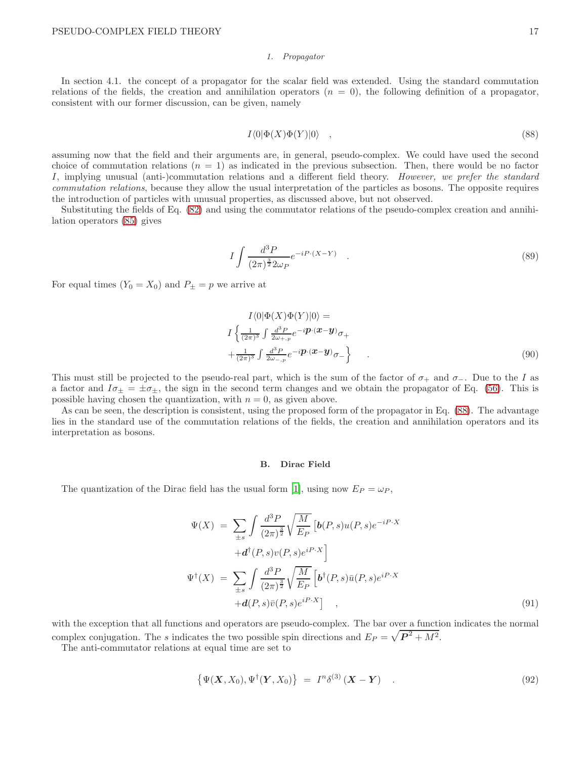#### *1. Propagator*

In section 4.1. the concept of a propagator for the scalar field was extended. Using the standard commutation relations of the fields, the creation and annihilation operators  $(n = 0)$ , the following definition of a propagator, consistent with our former discussion, can be given, namely

<span id="page-16-0"></span>
$$
I\langle 0|\Phi(X)\Phi(Y)|0\rangle \quad ,\tag{88}
$$

assuming now that the field and their arguments are, in general, pseudo-complex. We could have used the second choice of commutation relations  $(n = 1)$  as indicated in the previous subsection. Then, there would be no factor I, implying unusual (anti-)commutation relations and a different field theory. However, we prefer the standard commutation relations, because they allow the usual interpretation of the particles as bosons. The opposite requires the introduction of particles with unusual properties, as discussed above, but not observed.

Substituting the fields of Eq. [\(82\)](#page-15-1) and using the commutator relations of the pseudo-complex creation and annihilation operators [\(85\)](#page-15-2) gives

$$
I \int \frac{d^3 P}{(2\pi)^{\frac{3}{2}} 2\omega_P} e^{-iP \cdot (X - Y)} \quad . \tag{89}
$$

For equal times  $(Y_0 = X_0)$  and  $P_{\pm} = p$  we arrive at

$$
I \langle 0 | \Phi(X) \Phi(Y) | 0 \rangle =
$$
  
\n
$$
I \left\{ \frac{1}{(2\pi)^3} \int \frac{d^3 P}{2\omega_{+,p}} e^{-i \mathbf{p} \cdot (\mathbf{x} - \mathbf{y})} \sigma_+ + \frac{1}{(2\pi)^3} \int \frac{d^3 P}{2\omega_{-,p}} e^{-i \mathbf{p} \cdot (\mathbf{x} - \mathbf{y})} \sigma_- \right\}
$$
 (90)

This must still be projected to the pseudo-real part, which is the sum of the factor of  $\sigma_+$  and  $\sigma_-$ . Due to the I as a factor and  $I\sigma_{\pm} = \pm \sigma_{\pm}$ , the sign in the second term changes and we obtain the propagator of Eq. [\(56\)](#page-10-2). This is possible having chosen the quantization, with  $n = 0$ , as given above.

As can be seen, the description is consistent, using the proposed form of the propagator in Eq. [\(88\)](#page-16-0). The advantage lies in the standard use of the commutation relations of the fields, the creation and annihilation operators and its interpretation as bosons.

#### B. Dirac Field

The quantization of the Dirac field has the usual form [\[1](#page-27-0)], using now  $E_P = \omega_P$ ,

$$
\Psi(X) = \sum_{\pm s} \int \frac{d^3 P}{(2\pi)^{\frac{3}{2}}} \sqrt{\frac{M}{E_P}} \left[ b(P, s) u(P, s) e^{-iP \cdot X} \right]
$$

$$
+ d^{\dagger}(P, s) v(P, s) e^{iP \cdot X} \Big]
$$

$$
\Psi^{\dagger}(X) = \sum_{\pm s} \int \frac{d^3 P}{(2\pi)^{\frac{3}{2}}} \sqrt{\frac{M}{E_P}} \left[ b^{\dagger}(P, s) \bar{u}(P, s) e^{iP \cdot X} \right]
$$

$$
+ d(P, s) \bar{v}(P, s) e^{iP \cdot X} \Big] , \qquad (91)
$$

with the exception that all functions and operators are pseudo-complex. The bar over a function indicates the normal complex conjugation. The s indicates the two possible spin directions and  $E_P = \sqrt{P^2 + M^2}$ .

The anti-commutator relations at equal time are set to

$$
\left\{\Psi(\mathbf{X},X_0),\Psi^{\dagger}(\mathbf{Y},X_0)\right\} = I^n\delta^{(3)}(\mathbf{X}-\mathbf{Y})\quad .
$$
\n(92)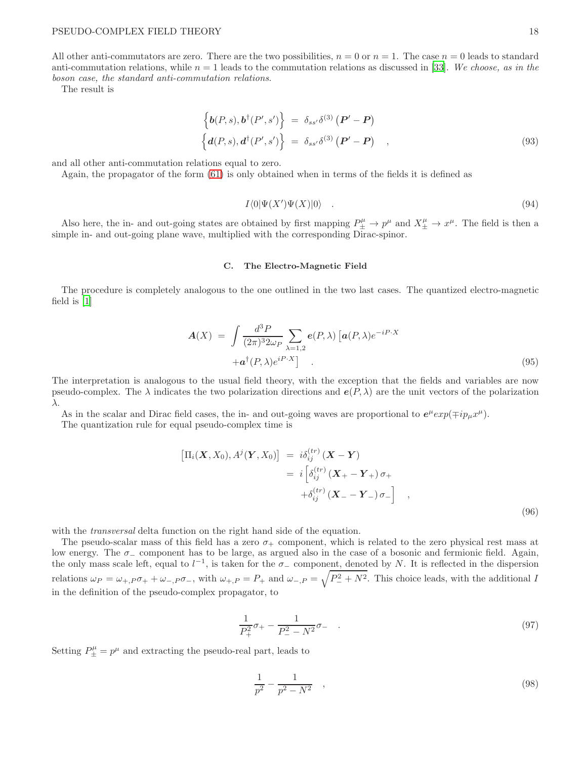All other anti-commutators are zero. There are the two possibilities,  $n = 0$  or  $n = 1$ . The case  $n = 0$  leads to standard anti-commutation relations, while  $n = 1$  leads to the commutation relations as discussed in [\[33\]](#page-27-32). We choose, as in the boson case, the standard anti-commutation relations.

The result is

$$
\begin{aligned}\n\left\{\boldsymbol{b}(P,s),\boldsymbol{b}^{\dagger}(P',s')\right\} &= \delta_{ss'}\delta^{(3)}\left(\boldsymbol{P}'-\boldsymbol{P}\right) \\
\left\{\boldsymbol{d}(P,s),\boldsymbol{d}^{\dagger}(P',s')\right\} &= \delta_{ss'}\delta^{(3)}\left(\boldsymbol{P}'-\boldsymbol{P}\right) \quad,\n\end{aligned} \tag{93}
$$

and all other anti-commutation relations equal to zero.

Again, the propagator of the form [\(61\)](#page-11-1) is only obtained when in terms of the fields it is defined as

$$
I \langle 0 | \Psi(X') \Psi(X) | 0 \rangle \quad . \tag{94}
$$

Also here, the in- and out-going states are obtained by first mapping  $P^{\mu}_{\pm} \to p^{\mu}$  and  $X^{\mu}_{\pm} \to x^{\mu}$ . The field is then a simple in- and out-going plane wave, multiplied with the corresponding Dirac-spinor.

#### C. The Electro-Magnetic Field

The procedure is completely analogous to the one outlined in the two last cases. The quantized electro-magnetic field is [\[1](#page-27-0)]

$$
\mathbf{A}(X) = \int \frac{d^3 P}{(2\pi)^3 2\omega_P} \sum_{\lambda=1,2} \mathbf{e}(P,\lambda) \left[ \mathbf{a}(P,\lambda) e^{-iP \cdot X} + \mathbf{a}^\dagger (P,\lambda) e^{iP \cdot X} \right]
$$
(95)

The interpretation is analogous to the usual field theory, with the exception that the fields and variables are now pseudo-complex. The  $\lambda$  indicates the two polarization directions and  $e(P, \lambda)$  are the unit vectors of the polarization λ.

As in the scalar and Dirac field cases, the in- and out-going waves are proportional to  $e^{\mu}exp(\mp ip_{\mu}x^{\mu})$ .

The quantization rule for equal pseudo-complex time is

$$
\begin{aligned}\n\left[\Pi_i(\mathbf{X}, X_0), A^j(\mathbf{Y}, X_0)\right] &= i\delta_{ij}^{(tr)}(\mathbf{X} - \mathbf{Y}) \\
&= i\left[\delta_{ij}^{(tr)}(\mathbf{X}_+ - \mathbf{Y}_+) \sigma_+ \right. \\
&\left. + \delta_{ij}^{(tr)}(\mathbf{X}_- - \mathbf{Y}_-) \sigma_- \right] \quad ,\n\end{aligned} \tag{96}
$$

with the *transversal* delta function on the right hand side of the equation.

The pseudo-scalar mass of this field has a zero  $\sigma_+$  component, which is related to the zero physical rest mass at low energy. The σ<sup>−</sup> component has to be large, as argued also in the case of a bosonic and fermionic field. Again, the only mass scale left, equal to  $l^{-1}$ , is taken for the  $\sigma_-$  component, denoted by N. It is reflected in the dispersion relations  $\omega_P = \omega_{+,P} \sigma_+ + \omega_{-,P} \sigma_-,$  with  $\omega_{+,P} = P_+$  and  $\omega_{-,P} = \sqrt{P_-^2 + N^2}$ . This choice leads, with the additional I in the definition of the pseudo-complex propagator, to

$$
\frac{1}{P_{+}^{2}}\sigma_{+} - \frac{1}{P_{-}^{2} - N^{2}}\sigma_{-} \quad . \tag{97}
$$

Setting  $P^{\mu}_{\pm} = p^{\mu}$  and extracting the pseudo-real part, leads to

<span id="page-17-0"></span>
$$
\frac{1}{p^2} - \frac{1}{p^2 - N^2} \quad , \tag{98}
$$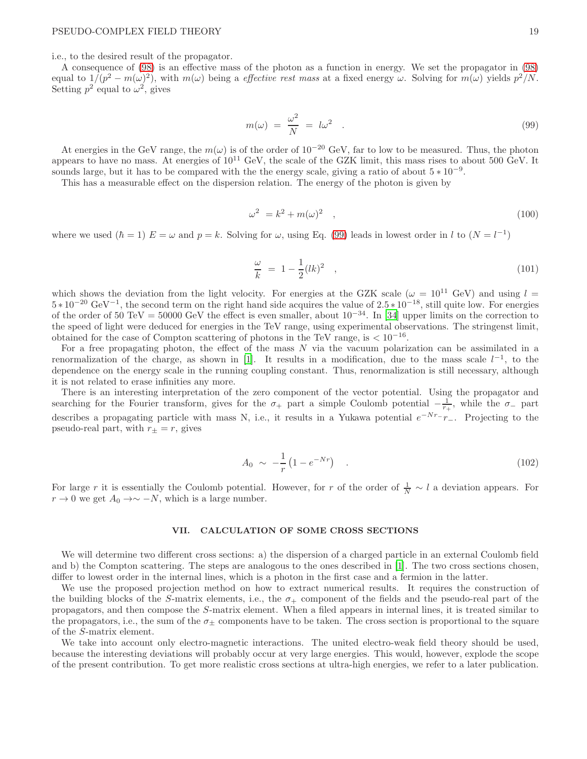# PSEUDO-COMPLEX FIELD THEORY 19

i.e., to the desired result of the propagator.

A consequence of [\(98\)](#page-17-0) is an effective mass of the photon as a function in energy. We set the propagator in [\(98\)](#page-17-0) equal to  $1/(p^2 - m(\omega))^2$ , with  $m(\omega)$  being a *effective rest mass* at a fixed energy  $\omega$ . Solving for  $m(\omega)$  yields  $p^2/N$ . Setting  $p^2$  equal to  $\omega^2$ , gives

<span id="page-18-0"></span>
$$
m(\omega) = \frac{\omega^2}{N} = l\omega^2 \quad . \tag{99}
$$

At energies in the GeV range, the  $m(\omega)$  is of the order of 10<sup>-20</sup> GeV, far to low to be measured. Thus, the photon appears to have no mass. At energies of  $10^{11}$  GeV, the scale of the GZK limit, this mass rises to about 500 GeV. It sounds large, but it has to be compared with the the energy scale, giving a ratio of about  $5 * 10^{-9}$ .

This has a measurable effect on the dispersion relation. The energy of the photon is given by

$$
\omega^2 = k^2 + m(\omega)^2 \quad , \tag{100}
$$

where we used  $(\hbar = 1) E = \omega$  and  $p = k$ . Solving for  $\omega$ , using Eq. [\(99\)](#page-18-0) leads in lowest order in l to  $(N = l^{-1})$ 

$$
\frac{\omega}{k} = 1 - \frac{1}{2}(lk)^2 \quad , \tag{101}
$$

which shows the deviation from the light velocity. For energies at the GZK scale ( $\omega = 10^{11}$  GeV) and using  $l =$  $5 * 10^{-20}$  GeV<sup>-1</sup>, the second term on the right hand side acquires the value of  $2.5 * 10^{-18}$ , still quite low. For energies of the order of 50 TeV = 50000 GeV the effect is even smaller, about  $10^{-34}$ . In [\[34\]](#page-27-33) upper limits on the correction to the speed of light were deduced for energies in the TeV range, using experimental observations. The stringenst limit, obtained for the case of Compton scattering of photons in the TeV range, is  $\lt 10^{-16}$ .

For a free propagating photon, the effect of the mass  $N$  via the vacuum polarization can be assimilated in a renormalization of the charge, as shown in [\[1\]](#page-27-0). It results in a modification, due to the mass scale  $l^{-1}$ , to the dependence on the energy scale in the running coupling constant. Thus, renormalization is still necessary, although it is not related to erase infinities any more.

There is an interesting interpretation of the zero component of the vector potential. Using the propagator and searching for the Fourier transform, gives for the  $\sigma_+$  part a simple Coulomb potential  $-\frac{1}{r_+}$ , while the  $\sigma_-$  part describes a propagating particle with mass N, i.e., it results in a Yukawa potential  $e^{-Nr-r}$ -. Projecting to the pseudo-real part, with  $r_{+} = r$ , gives

$$
A_0 \sim -\frac{1}{r} \left( 1 - e^{-Nr} \right) \quad . \tag{102}
$$

For large r it is essentially the Coulomb potential. However, for r of the order of  $\frac{1}{N} \sim l$  a deviation appears. For  $r \to 0$  we get  $A_0 \to \sim -N$ , which is a large number.

#### VII. CALCULATION OF SOME CROSS SECTIONS

We will determine two different cross sections: a) the dispersion of a charged particle in an external Coulomb field and b) the Compton scattering. The steps are analogous to the ones described in [\[1\]](#page-27-0). The two cross sections chosen, differ to lowest order in the internal lines, which is a photon in the first case and a fermion in the latter.

We use the proposed projection method on how to extract numerical results. It requires the construction of the building blocks of the S-matrix elements, i.e., the  $\sigma_{+}$  component of the fields and the pseudo-real part of the propagators, and then compose the S-matrix element. When a filed appears in internal lines, it is treated similar to the propagators, i.e., the sum of the  $\sigma_{\pm}$  components have to be taken. The cross section is proportional to the square of the S-matrix element.

We take into account only electro-magnetic interactions. The united electro-weak field theory should be used, because the interesting deviations will probably occur at very large energies. This would, however, explode the scope of the present contribution. To get more realistic cross sections at ultra-high energies, we refer to a later publication.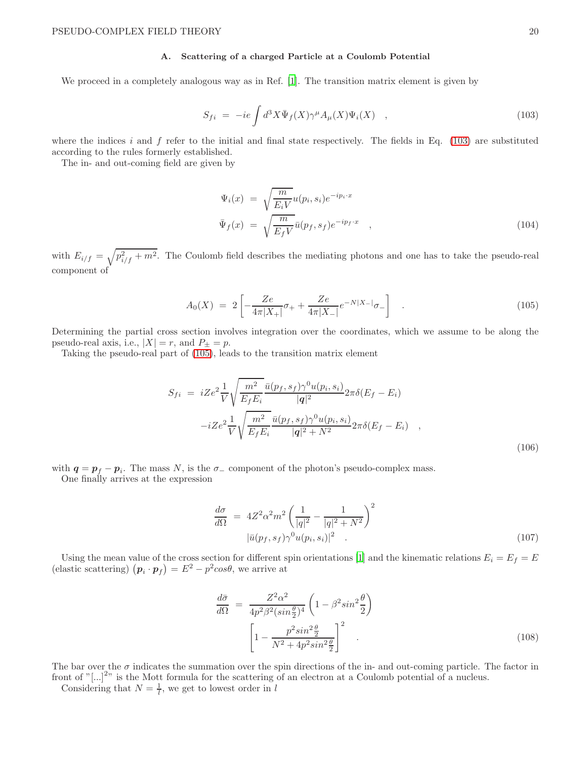# A. Scattering of a charged Particle at a Coulomb Potential

We proceed in a completely analogous way as in Ref. [\[1\]](#page-27-0). The transition matrix element is given by

<span id="page-19-0"></span>
$$
S_{fi} = -ie \int d^3 X \bar{\Psi}_f(X) \gamma^{\mu} A_{\mu}(X) \Psi_i(X) , \qquad (103)
$$

where the indices i and f refer to the initial and final state respectively. The fields in Eq.  $(103)$  are substituted according to the rules formerly established.

The in- and out-coming field are given by

$$
\Psi_i(x) = \sqrt{\frac{m}{E_i V}} u(p_i, s_i) e^{-ip_i \cdot x}
$$
\n
$$
\bar{\Psi}_f(x) = \sqrt{\frac{m}{E_f V}} \bar{u}(p_f, s_f) e^{-ip_f \cdot x} \quad , \tag{104}
$$

with  $E_{i/f} = \sqrt{p_{i/f}^2 + m^2}$ . The Coulomb field describes the mediating photons and one has to take the pseudo-real component of

<span id="page-19-1"></span>
$$
A_0(X) = 2 \left[ -\frac{Ze}{4\pi |X_+|} \sigma_+ + \frac{Ze}{4\pi |X_-|} e^{-N|X_-|} \sigma_- \right] \quad . \tag{105}
$$

Determining the partial cross section involves integration over the coordinates, which we assume to be along the pseudo-real axis, i.e.,  $|X| = r$ , and  $P_{\pm} = p$ .

Taking the pseudo-real part of  $(105)$ , leads to the transition matrix element

$$
S_{fi} = iZe^2 \frac{1}{V} \sqrt{\frac{m^2}{E_f E_i}} \frac{\bar{u}(p_f, s_f) \gamma^0 u(p_i, s_i)}{|q|^2} 2\pi \delta(E_f - E_i)
$$
  

$$
-iZe^2 \frac{1}{V} \sqrt{\frac{m^2}{E_f E_i}} \frac{\bar{u}(p_f, s_f) \gamma^0 u(p_i, s_i)}{|q|^2 + N^2} 2\pi \delta(E_f - E_i) ,
$$
  
(106)

with  $q = p_f - p_i$ . The mass N, is the  $\sigma_-$  component of the photon's pseudo-complex mass.

One finally arrives at the expression

$$
\frac{d\sigma}{d\Omega} = 4Z^2\alpha^2 m^2 \left(\frac{1}{|q|^2} - \frac{1}{|q|^2 + N^2}\right)^2
$$

$$
|\bar{u}(p_f, s_f)\gamma^0 u(p_i, s_i)|^2 \tag{107}
$$

Using the mean value of the cross section for different spin orientations [\[1\]](#page-27-0) and the kinematic relations  $E_i = E_f = E$ (elastic scattering)  $(p_i \cdot p_f) = E^2 - p^2 cos \theta$ , we arrive at

$$
\frac{d\bar{\sigma}}{d\Omega} = \frac{Z^2 \alpha^2}{4p^2 \beta^2 (\sin \frac{\theta}{2})^4} \left( 1 - \beta^2 \sin^2 \frac{\theta}{2} \right)
$$

$$
\left[ 1 - \frac{p^2 \sin^2 \frac{\theta}{2}}{N^2 + 4p^2 \sin^2 \frac{\theta}{2}} \right]^2 \quad . \tag{108}
$$

The bar over the  $\sigma$  indicates the summation over the spin directions of the in- and out-coming particle. The factor in front of "[...]<sup>2</sup>" is the Mott formula for the scattering of an electron at a Coulomb potential of a nucleus.

Considering that  $N = \frac{1}{l}$ , we get to lowest order in l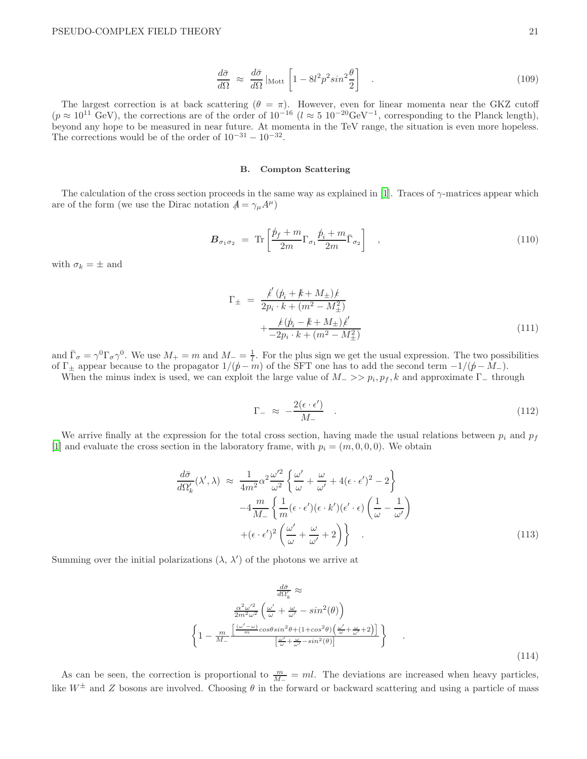$$
\frac{d\bar{\sigma}}{d\Omega} \approx \frac{d\bar{\sigma}}{d\Omega} \left|_{\text{Mott}} \left[ 1 - 8l^2 p^2 \sin^2 \frac{\theta}{2} \right] \right. \tag{109}
$$

The largest correction is at back scattering  $(\theta = \pi)$ . However, even for linear momenta near the GKZ cutoff  $(p \approx 10^{11} \text{ GeV})$ , the corrections are of the order of  $10^{-16}$   $(l \approx 5 \text{ 10}^{-20} \text{GeV}^{-1})$ , corresponding to the Planck length), beyond any hope to be measured in near future. At momenta in the TeV range, the situation is even more hopeless. The corrections would be of the order of  $10^{-31} - 10^{-32}$ .

## B. Compton Scattering

The calculation of the cross section proceeds in the same way as explained in [\[1\]](#page-27-0). Traces of  $\gamma$ -matrices appear which are of the form (we use the Dirac notation  $A = \gamma_{\mu} A^{\mu}$ )

$$
\boldsymbol{B}_{\sigma_1 \sigma_2} = \text{Tr} \left[ \frac{\dot{p}_f + m}{2m} \Gamma_{\sigma_1} \frac{\dot{p}_i + m}{2m} \bar{\Gamma}_{\sigma_2} \right] , \qquad (110)
$$

with  $\sigma_k = \pm$  and

$$
\Gamma_{\pm} = \frac{\cancel{\ell}'(\cancel{p}_i + \cancel{k} + M_{\pm})\cancel{k}}{2\cancel{p}_i \cdot k + (m^2 - M_{\pm}^2)} + \frac{\cancel{k}(\cancel{p}_i - \cancel{k} + M_{\pm})\cancel{\ell}'}{-2\cancel{p}_i \cdot k + (m^2 - M_{\pm}^2)}
$$
\n(111)

and  $\bar{\Gamma}_{\sigma} = \gamma^0 \Gamma_{\sigma} \gamma^0$ . We use  $M_+ = m$  and  $M_- = \frac{1}{l}$ . For the plus sign we get the usual expression. The two possibilities of  $\Gamma_{\pm}$  appear because to the propagator  $1/(\not p - m)$  of the SFT one has to add the second term  $-1/(\not p - M_{-})$ .

When the minus index is used, we can exploit the large value of  $M_{-} >> p_i, p_f, k$  and approximate  $\Gamma_{-}$  through

$$
\Gamma_{-} \approx -\frac{2(\epsilon \cdot \epsilon')}{M_{-}} \quad . \tag{112}
$$

We arrive finally at the expression for the total cross section, having made the usual relations between  $p_i$  and  $p_f$ [\[1\]](#page-27-0) and evaluate the cross section in the laboratory frame, with  $p_i = (m, 0, 0, 0)$ . We obtain

$$
\frac{d\bar{\sigma}}{d\Omega'_{k}}(\lambda',\lambda) \approx \frac{1}{4m^{2}}\alpha^{2}\frac{\omega'^{2}}{\omega^{2}}\left\{\frac{\omega'}{\omega}+\frac{\omega}{\omega'}+4(\epsilon\cdot\epsilon')^{2}-2\right\}
$$

$$
-4\frac{m}{M_{-}}\left\{\frac{1}{m}(\epsilon\cdot\epsilon')(\epsilon\cdot k')(\epsilon'\cdot\epsilon)\left(\frac{1}{\omega}-\frac{1}{\omega'}\right)\right\}
$$

$$
+(\epsilon\cdot\epsilon')^{2}\left(\frac{\omega'}{\omega}+\frac{\omega}{\omega'}+2\right)\right\}.
$$
(113)

Summing over the initial polarizations  $(\lambda, \lambda')$  of the photons we arrive at

$$
\frac{d\bar{\sigma}}{d\Omega'_k} \approx
$$
\n
$$
\frac{\alpha^2 \omega'^2}{2m^2 \omega^2} \left( \frac{\omega'}{\omega} + \frac{\omega}{\omega'} - \sin^2(\theta) \right)
$$
\n
$$
\left\{ 1 - \frac{m}{M_-} \frac{\left[ \frac{(\omega' - \omega)}{m} \cos\theta \sin^2\theta + (1 + \cos^2\theta) \left( \frac{\omega'}{\omega} + \frac{\omega}{\omega'} + 2 \right) \right]}{\left[ \frac{\omega'}{\omega} + \frac{\omega}{\omega'} - \sin^2(\theta) \right]} \right\}
$$
\n(114)

As can be seen, the correction is proportional to  $\frac{m}{M_-} = ml$ . The deviations are increased when heavy particles, like  $W^{\pm}$  and Z bosons are involved. Choosing  $\theta$  in the forward or backward scattering and using a particle of mass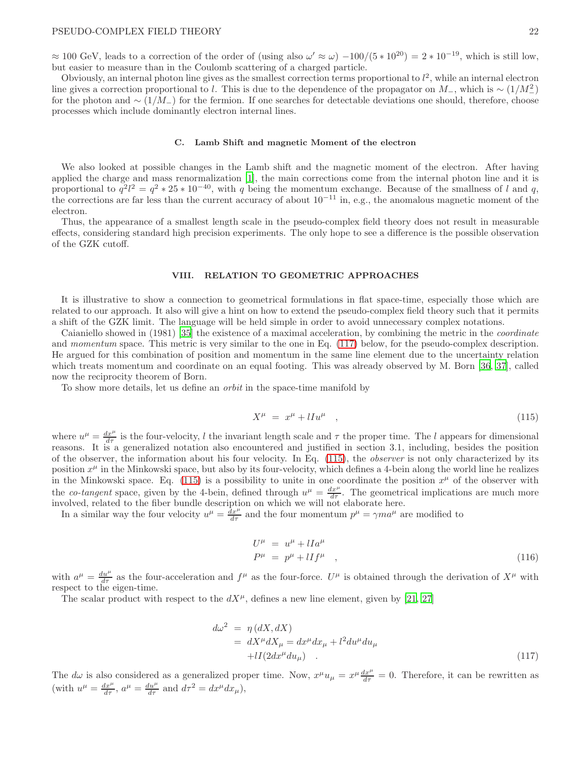$\approx 100$  GeV, leads to a correction of the order of (using also  $\omega' \approx \omega$ )  $-100/(5 * 10^{20}) = 2 * 10^{-19}$ , which is still low, but easier to measure than in the Coulomb scattering of a charged particle.

Obviously, an internal photon line gives as the smallest correction terms proportional to  $l^2$ , while an internal electron line gives a correction proportional to l. This is due to the dependence of the propagator on  $M_$ , which is ~  $(1/M_-^2)$ for the photon and  $\sim (1/M_{-})$  for the fermion. If one searches for detectable deviations one should, therefore, choose processes which include dominantly electron internal lines.

#### C. Lamb Shift and magnetic Moment of the electron

We also looked at possible changes in the Lamb shift and the magnetic moment of the electron. After having applied the charge and mass renormalization [\[1](#page-27-0)], the main corrections come from the internal photon line and it is proportional to  $q^2l^2 = q^2 * 25 * 10^{-40}$ , with q being the momentum exchange. Because of the smallness of l and q, the corrections are far less than the current accuracy of about  $10^{-11}$  in, e.g., the anomalous magnetic moment of the electron.

Thus, the appearance of a smallest length scale in the pseudo-complex field theory does not result in measurable effects, considering standard high precision experiments. The only hope to see a difference is the possible observation of the GZK cutoff.

# VIII. RELATION TO GEOMETRIC APPROACHES

It is illustrative to show a connection to geometrical formulations in flat space-time, especially those which are related to our approach. It also will give a hint on how to extend the pseudo-complex field theory such that it permits a shift of the GZK limit. The language will be held simple in order to avoid unnecessary complex notations.

Caianiello showed in (1981) [\[35](#page-27-34)] the existence of a maximal acceleration, by combining the metric in the coordinate and *momentum* space. This metric is very similar to the one in Eq. [\(117\)](#page-21-0) below, for the pseudo-complex description. He argued for this combination of position and momentum in the same line element due to the uncertainty relation which treats momentum and coordinate on an equal footing. This was already observed by M. Born [\[36,](#page-27-35) [37\]](#page-27-36), called now the reciprocity theorem of Born.

To show more details, let us define an orbit in the space-time manifold by

<span id="page-21-1"></span>
$$
X^{\mu} = x^{\mu} + lI u^{\mu} \quad , \tag{115}
$$

where  $u^{\mu} = \frac{dx^{\mu}}{d\tau}$  is the four-velocity, l the invariant length scale and  $\tau$  the proper time. The l appears for dimensional reasons. It is a generalized notation also encountered and justified in section 3.1, including, besides the position of the observer, the information about his four velocity. In Eq. [\(115\)](#page-21-1), the observer is not only characterized by its position  $x^{\mu}$  in the Minkowski space, but also by its four-velocity, which defines a 4-bein along the world line he realizes in the Minkowski space. Eq. [\(115\)](#page-21-1) is a possibility to unite in one coordinate the position  $x^{\mu}$  of the observer with the *co-tangent* space, given by the 4-bein, defined through  $u^{\mu} = \frac{dx^{\mu}}{d\tau}$ . The geometrical implications are much more involved, related to the fiber bundle description on which we will not elaborate here.

In a similar way the four velocity  $u^{\mu} = \frac{\hat{d}x^{\mu}}{d\tau}$  and the four momentum  $p^{\mu} = \gamma m a^{\mu}$  are modified to

$$
U^{\mu} = u^{\mu} + lIa^{\mu}
$$
  
\n
$$
P^{\mu} = p^{\mu} + lIf^{\mu} \quad , \tag{116}
$$

with  $a^{\mu} = \frac{du^{\mu}}{d\tau}$  as the four-acceleration and  $f^{\mu}$  as the four-force.  $U^{\mu}$  is obtained through the derivation of  $X^{\mu}$  with respect to the eigen-time.

The scalar product with respect to the  $dX^{\mu}$ , defines a new line element, given by [\[21,](#page-27-20) [27\]](#page-27-26)

<span id="page-21-0"></span>
$$
d\omega^2 = \eta (dX, dX)
$$
  
=  $dX^{\mu}dX_{\mu} = dx^{\mu}dx_{\mu} + l^2 du^{\mu}du_{\mu}$   
+ $lI(2dx^{\mu}du_{\mu})$  (117)

The  $d\omega$  is also considered as a generalized proper time. Now,  $x^{\mu}u_{\mu} = x^{\mu}\frac{dx^{\mu}}{d\tau} = 0$ . Therefore, it can be rewritten as (with  $u^{\mu} = \frac{dx^{\mu}}{d\tau}$ ,  $a^{\mu} = \frac{du^{\mu}}{d\tau}$  and  $d\tau^2 = dx^{\mu}dx_{\mu}$ ),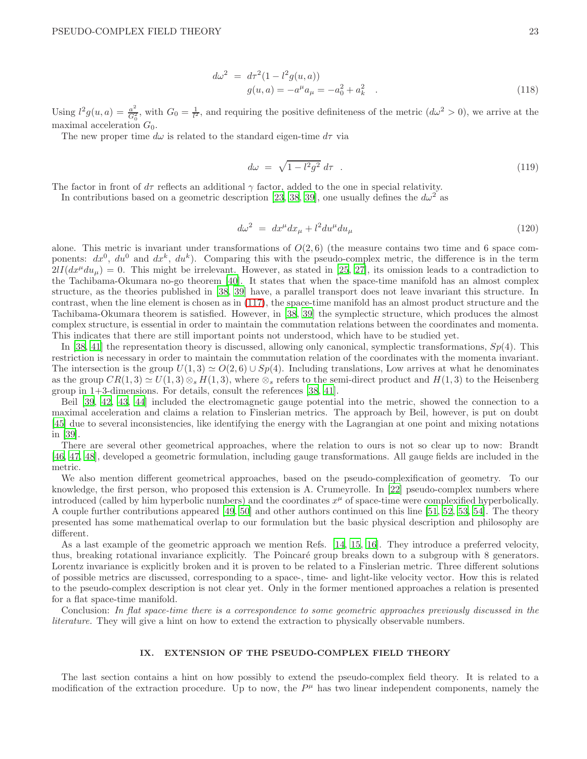$$
d\omega^2 = d\tau^2 (1 - l^2 g(u, a))
$$
  
 
$$
g(u, a) = -a^{\mu} a_{\mu} = -a_0^2 + a_k^2
$$
 (118)

Using  $l^2 g(u, a) = \frac{a^2}{C^2}$  $\frac{a^2}{G_0^2}$ , with  $G_0 = \frac{1}{l^2}$ , and requiring the positive definiteness of the metric  $(d\omega^2 > 0)$ , we arrive at the maximal acceleration  $G_0$ .

The new proper time  $d\omega$  is related to the standard eigen-time  $d\tau$  via

$$
d\omega = \sqrt{1 - l^2 g^2} \, d\tau \quad . \tag{119}
$$

The factor in front of  $d\tau$  reflects an additional  $\gamma$  factor, added to the one in special relativity.

In contributions based on a geometric description [\[23](#page-27-22), [38](#page-27-37), [39](#page-27-38)], one usually defines the  $d\omega^2$  as

$$
d\omega^2 = dx^{\mu}dx_{\mu} + l^2 du^{\mu}du_{\mu}
$$
\n(120)

alone. This metric is invariant under transformations of  $O(2, 6)$  (the measure contains two time and 6 space components:  $dx^0$ ,  $du^0$  and  $dx^k$ ,  $du^k$ ). Comparing this with the pseudo-complex metric, the difference is in the term  $2lI(dx^{\mu}du_{\mu})=0$ . This might be irrelevant. However, as stated in [\[25,](#page-27-24) [27\]](#page-27-26), its omission leads to a contradiction to the Tachibama-Okumara no-go theorem [\[40\]](#page-27-39). It states that when the space-time manifold has an almost complex structure, as the theories published in [\[38](#page-27-37), [39\]](#page-27-38) have, a parallel transport does not leave invariant this structure. In contrast, when the line element is chosen as in [\(117\)](#page-21-0), the space-time manifold has an almost product structure and the Tachibama-Okumara theorem is satisfied. However, in [\[38,](#page-27-37) [39\]](#page-27-38) the symplectic structure, which produces the almost complex structure, is essential in order to maintain the commutation relations between the coordinates and momenta. This indicates that there are still important points not understood, which have to be studied yet.

In [\[38](#page-27-37), [41](#page-27-40)] the representation theory is discussed, allowing only canonical, symplectic transformations,  $Sp(4)$ . This restriction is necessary in order to maintain the commutation relation of the coordinates with the momenta invariant. The intersection is the group  $U(1,3) \simeq O(2,6) \cup Sp(4)$ . Including translations, Low arrives at what he denominates as the group  $CR(1,3) \simeq U(1,3) \otimes_{s} H(1,3)$ , where  $\otimes_{s}$  refers to the semi-direct product and  $H(1,3)$  to the Heisenberg group in 1+3-dimensions. For details, consult the references [\[38](#page-27-37), [41](#page-27-40)].

Beil [\[39](#page-27-38), [42,](#page-27-41) [43,](#page-27-42) [44](#page-27-43)] included the electromagnetic gauge potential into the metric, showed the connection to a maximal acceleration and claims a relation to Finslerian metrics. The approach by Beil, however, is put on doubt [\[45\]](#page-27-44) due to several inconsistencies, like identifying the energy with the Lagrangian at one point and mixing notations in [\[39](#page-27-38)].

There are several other geometrical approaches, where the relation to ours is not so clear up to now: Brandt [\[46,](#page-28-0) [47,](#page-28-1) [48\]](#page-28-2), developed a geometric formulation, including gauge transformations. All gauge fields are included in the metric.

We also mention different geometrical approaches, based on the pseudo-complexification of geometry. To our knowledge, the first person, who proposed this extension is A. Crumeyrolle. In [\[22](#page-27-21)] pseudo-complex numbers where introduced (called by him hyperbolic numbers) and the coordinates  $x^{\mu}$  of space-time were complexified hyperbolically. A couple further contributions appeared [\[49,](#page-28-3) [50\]](#page-28-4) and other authors continued on this line [\[51](#page-28-5), [52](#page-28-6), [53](#page-28-7), [54\]](#page-28-8). The theory presented has some mathematical overlap to our formulation but the basic physical description and philosophy are different.

As a last example of the geometric approach we mention Refs. [\[14,](#page-27-13) [15](#page-27-14), [16\]](#page-27-15). They introduce a preferred velocity, thus, breaking rotational invariance explicitly. The Poincaré group breaks down to a subgroup with 8 generators. Lorentz invariance is explicitly broken and it is proven to be related to a Finslerian metric. Three different solutions of possible metrics are discussed, corresponding to a space-, time- and light-like velocity vector. How this is related to the pseudo-complex description is not clear yet. Only in the former mentioned approaches a relation is presented for a flat space-time manifold.

Conclusion: In flat space-time there is a correspondence to some geometric approaches previously discussed in the literature. They will give a hint on how to extend the extraction to physically observable numbers.

# IX. EXTENSION OF THE PSEUDO-COMPLEX FIELD THEORY

The last section contains a hint on how possibly to extend the pseudo-complex field theory. It is related to a modification of the extraction procedure. Up to now, the  $P^{\mu}$  has two linear independent components, namely the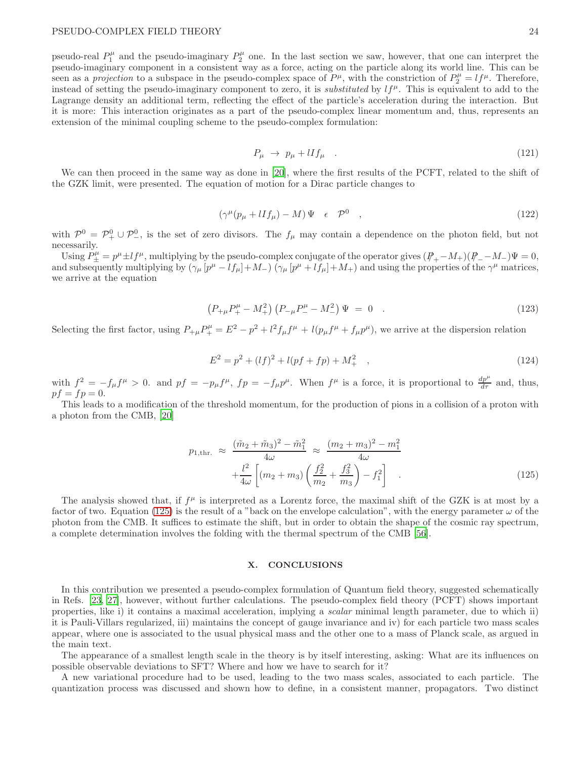pseudo-real  $P_1^{\mu}$  and the pseudo-imaginary  $P_2^{\mu}$  one. In the last section we saw, however, that one can interpret the pseudo-imaginary component in a consistent way as a force, acting on the particle along its world line. This can be seen as a *projection* to a subspace in the pseudo-complex space of  $P^{\mu}$ , with the constriction of  $P_2^{\mu} = l f^{\mu}$ . Therefore, instead of setting the pseudo-imaginary component to zero, it is *substituted* by  $l f^{\mu}$ . This is equivalent to add to the Lagrange density an additional term, reflecting the effect of the particle's acceleration during the interaction. But it is more: This interaction originates as a part of the pseudo-complex linear momentum and, thus, represents an extension of the minimal coupling scheme to the pseudo-complex formulation:

$$
P_{\mu} \rightarrow p_{\mu} + l I f_{\mu} \quad . \tag{121}
$$

We can then proceed in the same way as done in [\[20](#page-27-19)], where the first results of the PCFT, related to the shift of the GZK limit, were presented. The equation of motion for a Dirac particle changes to

$$
\left(\gamma^{\mu}(p_{\mu} + lI f_{\mu}) - M\right)\Psi \quad \epsilon \quad \mathcal{P}^{0} \quad , \tag{122}
$$

with  $\mathcal{P}^0 = \mathcal{P}^0_+ \cup \mathcal{P}^0_-$ , is the set of zero divisors. The  $f_\mu$  may contain a dependence on the photon field, but not necessarily.

Using  $P_{\pm}^{\mu} = p^{\mu} \pm l f^{\mu}$ , multiplying by the pseudo-complex conjugate of the operator gives  $(p_{+} - M_{+})(p_{-} - M_{-})\Psi = 0$ , and subsequently multiplying by  $(\gamma_\mu [p^\mu - lf_\mu]+M_-) (\gamma_\mu [p^\mu + lf_\mu]+M_+)$  and using the properties of the  $\gamma^\mu$  matrices, we arrive at the equation

$$
\left(P_{+\mu}P_{+}^{\mu}-M_{+}^{2}\right)\left(P_{-\mu}P_{-}^{\mu}-M_{-}^{2}\right)\Psi\ =\ 0\quad.\tag{123}
$$

Selecting the first factor, using  $P_{+\mu}P_{+}^{\mu} = E^2 - p^2 + l^2 f_{\mu}f^{\mu} + l(p_{\mu}f^{\mu} + f_{\mu}p^{\mu})$ , we arrive at the dispersion relation

$$
E^{2} = p^{2} + (lf)^{2} + l(pf + fp) + M_{+}^{2} \quad , \tag{124}
$$

with  $f^2 = -f_\mu f^\mu > 0$ . and  $pf = -p_\mu f^\mu$ ,  $fp = -f_\mu p^\mu$ . When  $f^\mu$  is a force, it is proportional to  $\frac{dp^\mu}{d\tau}$  and, thus,  $pf = fp = 0.$ 

This leads to a modification of the threshold momentum, for the production of pions in a collision of a proton with a photon from the CMB, [\[20\]](#page-27-19)

<span id="page-23-0"></span>
$$
p_{1,\text{thr.}} \approx \frac{(\tilde{m}_2 + \tilde{m}_3)^2 - \tilde{m}_1^2}{4\omega} \approx \frac{(m_2 + m_3)^2 - m_1^2}{4\omega} + \frac{l^2}{4\omega} \left[ (m_2 + m_3) \left( \frac{f_2^2}{m_2} + \frac{f_3^2}{m_3} \right) - f_1^2 \right] \tag{125}
$$

The analysis showed that, if  $f^{\mu}$  is interpreted as a Lorentz force, the maximal shift of the GZK is at most by a factor of two. Equation [\(125\)](#page-23-0) is the result of a "back on the envelope calculation", with the energy parameter  $\omega$  of the photon from the CMB. It suffices to estimate the shift, but in order to obtain the shape of the cosmic ray spectrum, a complete determination involves the folding with the thermal spectrum of the CMB [\[56\]](#page-28-9).

# X. CONCLUSIONS

In this contribution we presented a pseudo-complex formulation of Quantum field theory, suggested schematically in Refs. [\[23,](#page-27-22) [27](#page-27-26)], however, without further calculations. The pseudo-complex field theory (PCFT) shows important properties, like i) it contains a maximal acceleration, implying a scalar minimal length parameter, due to which ii) it is Pauli-Villars regularized, iii) maintains the concept of gauge invariance and iv) for each particle two mass scales appear, where one is associated to the usual physical mass and the other one to a mass of Planck scale, as argued in the main text.

The appearance of a smallest length scale in the theory is by itself interesting, asking: What are its influences on possible observable deviations to SFT? Where and how we have to search for it?

A new variational procedure had to be used, leading to the two mass scales, associated to each particle. The quantization process was discussed and shown how to define, in a consistent manner, propagators. Two distinct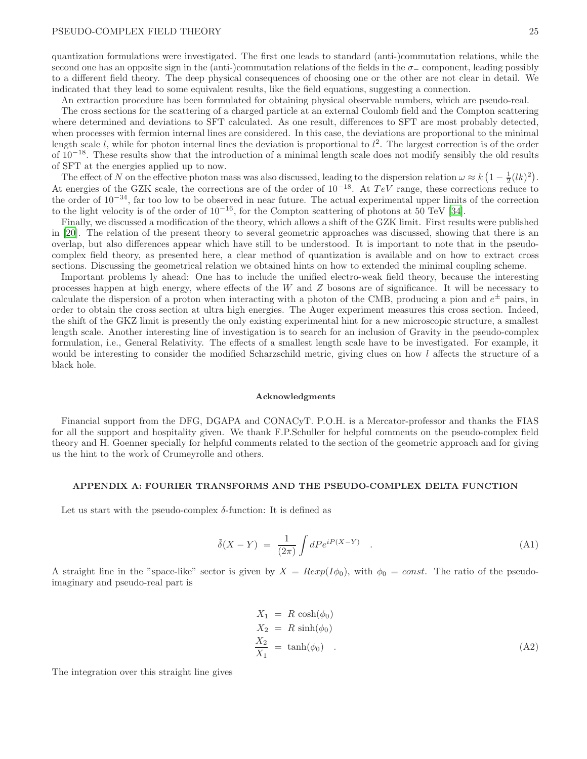# PSEUDO-COMPLEX FIELD THEORY 25

quantization formulations were investigated. The first one leads to standard (anti-)commutation relations, while the second one has an opposite sign in the (anti-)commutation relations of the fields in the σ<sup>−</sup> component, leading possibly to a different field theory. The deep physical consequences of choosing one or the other are not clear in detail. We indicated that they lead to some equivalent results, like the field equations, suggesting a connection.

An extraction procedure has been formulated for obtaining physical observable numbers, which are pseudo-real.

The cross sections for the scattering of a charged particle at an external Coulomb field and the Compton scattering where determined and deviations to SFT calculated. As one result, differences to SFT are most probably detected, when processes with fermion internal lines are considered. In this case, the deviations are proportional to the minimal length scale  $l$ , while for photon internal lines the deviation is proportional to  $l^2$ . The largest correction is of the order of 10−<sup>18</sup>. These results show that the introduction of a minimal length scale does not modify sensibly the old results of SFT at the energies applied up to now.

The effect of N on the effective photon mass was also discussed, leading to the dispersion relation  $\omega \approx k \left(1 - \frac{1}{2}(lk)^2\right)$ . At energies of the GZK scale, the corrections are of the order of  $10^{-18}$ . At  $TeV$  range, these corrections reduce to the order of 10−<sup>34</sup>, far too low to be observed in near future. The actual experimental upper limits of the correction to the light velocity is of the order of  $10^{-16}$ , for the Compton scattering of photons at 50 TeV [\[34\]](#page-27-33).

Finally, we discussed a modification of the theory, which allows a shift of the GZK limit. First results were published in [\[20\]](#page-27-19). The relation of the present theory to several geometric approaches was discussed, showing that there is an overlap, but also differences appear which have still to be understood. It is important to note that in the pseudocomplex field theory, as presented here, a clear method of quantization is available and on how to extract cross sections. Discussing the geometrical relation we obtained hints on how to extended the minimal coupling scheme.

Important problems ly ahead: One has to include the unified electro-weak field theory, because the interesting processes happen at high energy, where effects of the W and Z bosons are of significance. It will be necessary to calculate the dispersion of a proton when interacting with a photon of the CMB, producing a pion and  $e^{\pm}$  pairs, in order to obtain the cross section at ultra high energies. The Auger experiment measures this cross section. Indeed, the shift of the GKZ limit is presently the only existing experimental hint for a new microscopic structure, a smallest length scale. Another interesting line of investigation is to search for an inclusion of Gravity in the pseudo-complex formulation, i.e., General Relativity. The effects of a smallest length scale have to be investigated. For example, it would be interesting to consider the modified Scharzschild metric, giving clues on how l affects the structure of a black hole.

#### Acknowledgments

Financial support from the DFG, DGAPA and CONACyT. P.O.H. is a Mercator-professor and thanks the FIAS for all the support and hospitality given. We thank F.P.Schuller for helpful comments on the pseudo-complex field theory and H. Goenner specially for helpful comments related to the section of the geometric approach and for giving us the hint to the work of Crumeyrolle and others.

## APPENDIX A: FOURIER TRANSFORMS AND THE PSEUDO-COMPLEX DELTA FUNCTION

Let us start with the pseudo-complex  $\delta$ -function: It is defined as

$$
\tilde{\delta}(X - Y) = \frac{1}{(2\pi)} \int dP e^{iP(X - Y)} . \tag{A1}
$$

A straight line in the "space-like" sector is given by  $X = \text{R}exp(I\phi_0)$ , with  $\phi_0 = \text{const.}$  The ratio of the pseudoimaginary and pseudo-real part is

$$
X_1 = R \cosh(\phi_0)
$$
  
\n
$$
X_2 = R \sinh(\phi_0)
$$
  
\n
$$
\frac{X_2}{X_1} = \tanh(\phi_0)
$$
\n(A2)

The integration over this straight line gives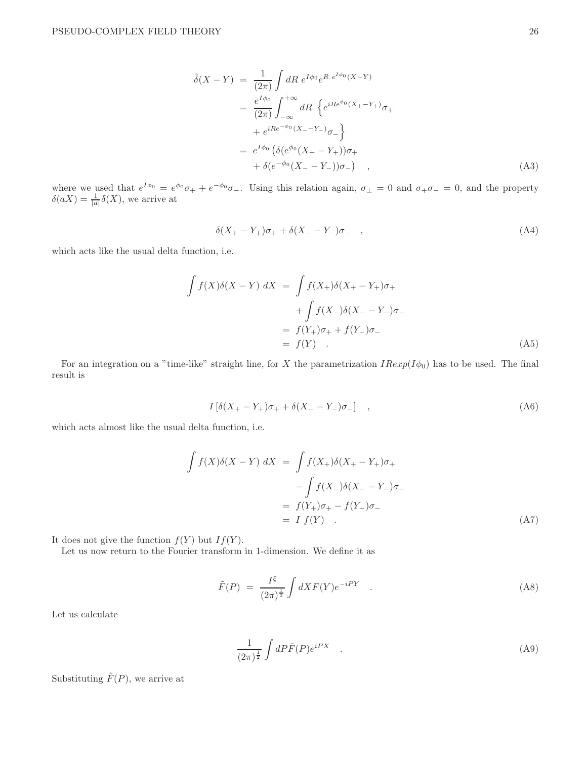$$
\tilde{\delta}(X - Y) = \frac{1}{(2\pi)} \int dR \ e^{I\phi_0} e^{R \ e^{I\phi_0} (X - Y)}
$$
\n
$$
= \frac{e^{I\phi_0}}{(2\pi)} \int_{-\infty}^{+\infty} dR \left\{ e^{iRe^{\phi_0} (X_+ - Y_+)} \sigma_+ \right.
$$
\n
$$
+ e^{iRe^{-\phi_0} (X_- - Y_-)} \sigma_- \right\}
$$
\n
$$
= e^{I\phi_0} \left( \delta(e^{\phi_0} (X_+ - Y_+)) \sigma_+ \right.
$$
\n
$$
+ \delta(e^{-\phi_0} (X_- - Y_-)) \sigma_- \right) ,
$$
\n(A3)

where we used that  $e^{I\phi_0} = e^{\phi_0}\sigma_+ + e^{-\phi_0}\sigma_-.$  Using this relation again,  $\sigma_{\pm} = 0$  and  $\sigma_{+}\sigma_- = 0$ , and the property  $\delta(aX) = \frac{1}{|a|} \delta(X)$ , we arrive at

$$
\delta(X_{+} - Y_{+})\sigma_{+} + \delta(X_{-} - Y_{-})\sigma_{-} \quad , \tag{A4}
$$

which acts like the usual delta function, i.e.

$$
\int f(X)\delta(X - Y) dX = \int f(X_+) \delta(X_+ - Y_+) \sigma_+ \n+ \int f(X_-) \delta(X_- - Y_-) \sigma_- \n= f(Y_+) \sigma_+ + f(Y_-) \sigma_- \n= f(Y) .
$$
\n(A5)

For an integration on a "time-like" straight line, for X the parametrization  $IRexp(I\phi_0)$  has to be used. The final result is

$$
I\left[\delta(X_{+}-Y_{+})\sigma_{+}+\delta(X_{-}-Y_{-})\sigma_{-}\right] \quad , \tag{A6}
$$

which acts almost like the usual delta function, i.e.

$$
\int f(X)\delta(X - Y) dX = \int f(X_+) \delta(X_+ - Y_+) \sigma_+
$$

$$
- \int f(X_-) \delta(X_- - Y_-) \sigma_-
$$

$$
= f(Y_+) \sigma_+ - f(Y_-) \sigma_-
$$

$$
= I f(Y) . \tag{A7}
$$

It does not give the function  $f(Y)$  but  $If(Y)$ .

Let us now return to the Fourier transform in 1-dimension. We define it as

$$
\tilde{F}(P) = \frac{I^{\xi}}{(2\pi)^{\frac{1}{2}}} \int dX F(Y) e^{-iPY} \quad . \tag{A8}
$$

Let us calculate

$$
\frac{1}{(2\pi)^{\frac{1}{2}}} \int dP \tilde{F}(P) e^{iPX} \quad . \tag{A9}
$$

Substituting  $\tilde{F}(P)$ , we arrive at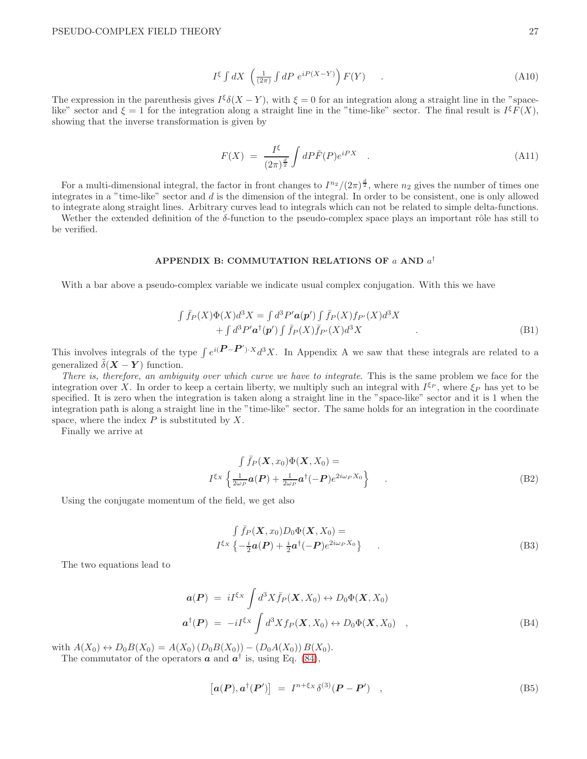$$
I^{\xi} \int dX \left( \frac{1}{(2\pi)} \int dP \ e^{iP(X-Y)} \right) F(Y) \qquad . \tag{A10}
$$

The expression in the parenthesis gives  $I^{\xi}\delta(X-Y)$ , with  $\xi=0$  for an integration along a straight line in the "spacelike" sector and  $\xi = 1$  for the integration along a straight line in the "time-like" sector. The final result is  $I^{\xi}F(X)$ , showing that the inverse transformation is given by

$$
F(X) = \frac{I^{\xi}}{(2\pi)^{\frac{d}{2}}} \int dP \tilde{F}(P) e^{iPX} \quad . \tag{A11}
$$

For a multi-dimensional integral, the factor in front changes to  $I^{n_2}/(2\pi)^{\frac{d}{2}}$ , where  $n_2$  gives the number of times one integrates in a "time-like" sector and  $d$  is the dimension of the integral. In order to be consistent, one is only allowed to integrate along straight lines. Arbitrary curves lead to integrals which can not be related to simple delta-functions.

Wether the extended definition of the  $\delta$ -function to the pseudo-complex space plays an important rôle has still to be verified.

# APPENDIX B: COMMUTATION RELATIONS OF  $a$  AND  $a^{\dagger}$

With a bar above a pseudo-complex variable we indicate usual complex conjugation. With this we have

$$
\int \bar{f}_P(X)\Phi(X)d^3X = \int d^3P'\mathbf{a}(\mathbf{p}')\int \bar{f}_P(X)f_{P'}(X)d^3X \n+ \int d^3P'\mathbf{a}^\dagger(\mathbf{p}')\int \bar{f}_P(X)\bar{f}_{P'}(X)d^3X
$$
\n(B1)

This involves integrals of the type  $\int e^{i(\boldsymbol{P}-\boldsymbol{P}')\cdot X} d^3X$ . In Appendix A we saw that these integrals are related to a generalized  $\tilde{\delta}(\mathbf{X} - \mathbf{Y})$  function.

There is, therefore, an ambiguity over which curve we have to integrate. This is the same problem we face for the integration over X. In order to keep a certain liberty, we multiply such an integral with  $I^{\xi_P}$ , where  $\xi_P$  has yet to be specified. It is zero when the integration is taken along a straight line in the "space-like" sector and it is 1 when the integration path is along a straight line in the "time-like" sector. The same holds for an integration in the coordinate space, where the index  $P$  is substituted by  $X$ .

Finally we arrive at

$$
\int \bar{f}_P(\mathbf{X}, x_0) \Phi(\mathbf{X}, X_0) =
$$
  

$$
I^{\xi_X} \left\{ \frac{1}{2\omega_P} \mathbf{a}(P) + \frac{1}{2\omega_P} \mathbf{a}^\dagger (-P) e^{2i\omega_P X_0} \right\}
$$
 (B2)

Using the conjugate momentum of the field, we get also

$$
\int \bar{f}_P(\mathbf{X}, x_0) D_0 \Phi(\mathbf{X}, X_0) =
$$
  

$$
I^{\xi_X} \left\{ -\frac{i}{2} \mathbf{a}(P) + \frac{i}{2} \mathbf{a}^\dagger(-P) e^{2i\omega_P X_0} \right\}
$$
 (B3)

The two equations lead to

$$
\mathbf{a}(\mathbf{P}) = iI^{\xi_X} \int d^3X \bar{f}_P(\mathbf{X}, X_0) \leftrightarrow D_0 \Phi(\mathbf{X}, X_0)
$$
  

$$
\mathbf{a}^\dagger(\mathbf{P}) = -iI^{\xi_X} \int d^3X f_P(\mathbf{X}, X_0) \leftrightarrow D_0 \Phi(\mathbf{X}, X_0) ,
$$
 (B4)

with  $A(X_0) \leftrightarrow D_0 B(X_0) = A(X_0) (D_0 B(X_0)) - (D_0 A(X_0)) B(X_0).$ 

The commutator of the operators  $\boldsymbol{a}$  and  $\boldsymbol{a}^{\dagger}$  is, using Eq. [\(84\)](#page-15-0),

<span id="page-26-0"></span>
$$
[a(P), a^{\dagger}(P')] = I^{n+\xi_X} \delta^{(3)}(P - P') , \qquad (B5)
$$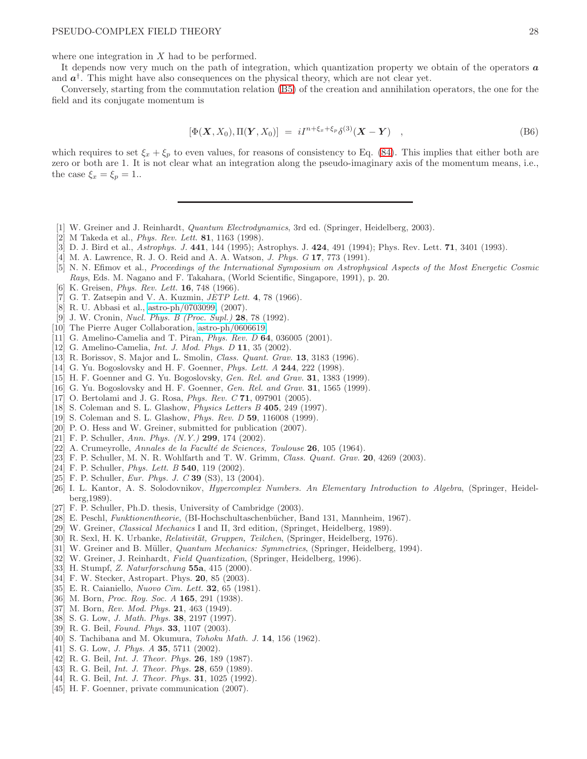where one integration in  $X$  had to be performed.

It depends now very much on the path of integration, which quantization property we obtain of the operators  $\boldsymbol{a}$ and  $a^{\dagger}$ . This might have also consequences on the physical theory, which are not clear yet.

Conversely, starting from the commutation relation [\(B5\)](#page-26-0) of the creation and annihilation operators, the one for the field and its conjugate momentum is

$$
[\Phi(\mathbf{X}, X_0), \Pi(\mathbf{Y}, X_0)] = iI^{n+\xi_x+\xi_p}\delta^{(3)}(\mathbf{X} - \mathbf{Y}) , \qquad (B6)
$$

which requires to set  $\xi_x + \xi_p$  to even values, for reasons of consistency to Eq. [\(84\)](#page-15-0). This implies that either both are zero or both are 1. It is not clear what an integration along the pseudo-imaginary axis of the momentum means, i.e., the case  $\xi_x = \xi_p = 1$ ..

- <span id="page-27-0"></span>[1] W. Greiner and J. Reinhardt, *Quantum Electrodynamics*, 3rd ed. (Springer, Heidelberg, 2003).
- <span id="page-27-1"></span>[2] M Takeda et al., *Phys. Rev. Lett.* 81, 1163 (1998).
- <span id="page-27-2"></span>[3] D. J. Bird et al., *Astrophys. J.* 441, 144 (1995); Astrophys. J. 424, 491 (1994); Phys. Rev. Lett. 71, 3401 (1993).
- <span id="page-27-3"></span>[4] M. A. Lawrence, R. J. O. Reid and A. A. Watson, *J. Phys. G* 17, 773 (1991).
- <span id="page-27-4"></span>[5] N. N. Efimov et al., *Proceedings of the International Symposium on Astrophysical Aspects of the Most Energetic Cosmic Rays*, Eds. M. Nagano and F. Takahara, (World Scientific, Singapore, 1991), p. 20.
- <span id="page-27-5"></span>[6] K. Greisen, *Phys. Rev. Lett.* 16, 748 (1966).
- <span id="page-27-6"></span>[7] G. T. Zatsepin and V. A. Kuzmin, *JETP Lett.* 4, 78 (1966).
- <span id="page-27-7"></span>[8] R. U. Abbasi et al., [astro-ph/0703099,](http://arxiv.org/abs/astro-ph/0703099) (2007).
- <span id="page-27-8"></span>[9] J. W. Cronin, *Nucl. Phys. B (Proc. Supl.)* 28, 78 (1992).
- <span id="page-27-9"></span>[10] The Pierre Auger Collaboration, [astro-ph/0606619.](http://arxiv.org/abs/astro-ph/0606619)
- <span id="page-27-10"></span>[11] G. Amelino-Camelia and T. Piran, *Phys. Rev. D* 64, 036005 (2001).
- <span id="page-27-11"></span>[12] G. Amelino-Camelia, *Int. J. Mod. Phys. D* 11, 35 (2002).
- <span id="page-27-12"></span>[13] R. Borissov, S. Major and L. Smolin, *Class. Quant. Grav.* 13, 3183 (1996).
- <span id="page-27-13"></span>[14] G. Yu. Bogoslovsky and H. F. Goenner, *Phys. Lett. A* 244, 222 (1998).
- <span id="page-27-14"></span>[15] H. F. Goenner and G. Yu. Bogoslovsky, *Gen. Rel. and Grav.* 31, 1383 (1999).
- <span id="page-27-15"></span>[16] G. Yu. Bogoslovsky and H. F. Goenner, *Gen. Rel. and Grav.* 31, 1565 (1999).
- <span id="page-27-16"></span>[17] O. Bertolami and J. G. Rosa, *Phys. Rev. C* 71, 097901 (2005).
- <span id="page-27-17"></span>[18] S. Coleman and S. L. Glashow, *Physics Letters B* 405, 249 (1997).
- <span id="page-27-18"></span>[19] S. Coleman and S. L. Glashow, *Phys. Rev. D* 59, 116008 (1999).
- <span id="page-27-19"></span>[20] P. O. Hess and W. Greiner, submitted for publication (2007).
- <span id="page-27-20"></span>[21] F. P. Schuller, *Ann. Phys. (N.Y.)* 299, 174 (2002).
- <span id="page-27-21"></span>[22] A. Crumeyrolle, *Annales de la Facult´e de Sciences, Toulouse* 26, 105 (1964).
- <span id="page-27-22"></span>[23] F. P. Schuller, M. N. R. Wohlfarth and T. W. Grimm, *Class. Quant. Grav.* 20, 4269 (2003).
- <span id="page-27-23"></span>[24] F. P. Schuller, *Phys. Lett. B* 540, 119 (2002).
- <span id="page-27-24"></span>[25] F. P. Schuller, *Eur. Phys. J. C* 39 (S3), 13 (2004).
- <span id="page-27-25"></span>[26] I. L. Kantor, A. S. Solodovnikov, *Hypercomplex Numbers. An Elementary Introduction to Algebra*, (Springer, Heidelberg,1989).
- <span id="page-27-26"></span>[27] F. P. Schuller, Ph.D. thesis, University of Cambridge (2003).
- <span id="page-27-27"></span>[28] E. Peschl, *Funktionentheorie*, (BI-Hochschultaschenbücher, Band 131, Mannheim, 1967).
- <span id="page-27-28"></span>[29] W. Greiner, *Classical Mechanics* I and II, 3rd edition, (Springet, Heidelberg, 1989).
- <span id="page-27-29"></span>[30] R. Sexl, H. K. Urbanke, *Relativität, Gruppen, Teilchen*, (Springer, Heidelberg, 1976).
- <span id="page-27-30"></span>[31] W. Greiner and B. Müller, *Quantum Mechanics: Symmetries*, (Springer, Heidelberg, 1994).
- <span id="page-27-31"></span>[32] W. Greiner, J. Reinhardt, *Field Quantization*, (Springer, Heidelberg, 1996).
- <span id="page-27-32"></span>[33] H. Stumpf, *Z. Naturforschung* 55a, 415 (2000).
- <span id="page-27-33"></span>[34] F. W. Stecker, Astropart. Phys. 20, 85 (2003).
- <span id="page-27-34"></span>[35] E. R. Caianiello, *Nuovo Cim. Lett.* 32, 65 (1981).
- <span id="page-27-35"></span>[36] M. Born, *Proc. Roy. Soc. A* 165, 291 (1938).
- <span id="page-27-36"></span>[37] M. Born, *Rev. Mod. Phys.* 21, 463 (1949).
- <span id="page-27-37"></span>[38] S. G. Low, *J. Math. Phys.* 38, 2197 (1997).
- <span id="page-27-38"></span>[39] R. G. Beil, *Found. Phys.* 33, 1107 (2003).
- <span id="page-27-39"></span>[40] S. Tachibana and M. Okumura, *Tohoku Math. J.* 14, 156 (1962).
- <span id="page-27-40"></span>[41] S. G. Low, *J. Phys. A* 35, 5711 (2002).
- <span id="page-27-41"></span>[42] R. G. Beil, *Int. J. Theor. Phys.* 26, 189 (1987).
- <span id="page-27-42"></span>[43] R. G. Beil, *Int. J. Theor. Phys.* 28, 659 (1989).
- <span id="page-27-43"></span>[44] R. G. Beil, *Int. J. Theor. Phys.* 31, 1025 (1992).
- <span id="page-27-44"></span>[45] H. F. Goenner, private communication (2007).